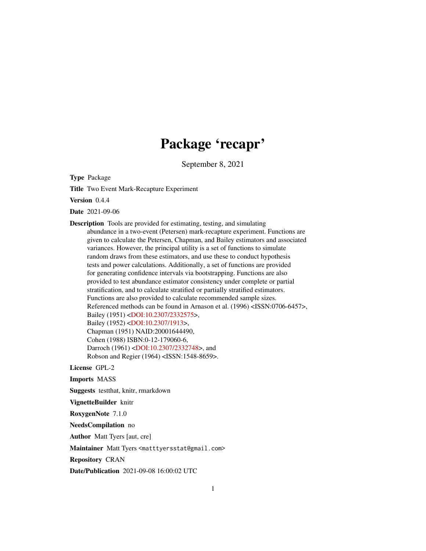## Package 'recapr'

September 8, 2021

<span id="page-0-0"></span>Type Package

Title Two Event Mark-Recapture Experiment

Version 0.4.4

Date 2021-09-06

Description Tools are provided for estimating, testing, and simulating abundance in a two-event (Petersen) mark-recapture experiment. Functions are given to calculate the Petersen, Chapman, and Bailey estimators and associated variances. However, the principal utility is a set of functions to simulate random draws from these estimators, and use these to conduct hypothesis tests and power calculations. Additionally, a set of functions are provided for generating confidence intervals via bootstrapping. Functions are also provided to test abundance estimator consistency under complete or partial stratification, and to calculate stratified or partially stratified estimators. Functions are also provided to calculate recommended sample sizes. Referenced methods can be found in Arnason et al. (1996) <ISSN:0706-6457>, Bailey (1951) [<DOI:10.2307/2332575>](https://doi.org/10.2307/2332575), Bailey (1952) [<DOI:10.2307/1913>](https://doi.org/10.2307/1913), Chapman (1951) NAID:20001644490, Cohen (1988) ISBN:0-12-179060-6, Darroch (1961) [<DOI:10.2307/2332748>](https://doi.org/10.2307/2332748), and Robson and Regier (1964) <ISSN:1548-8659>.

License GPL-2

Imports MASS

Suggests testthat, knitr, rmarkdown

VignetteBuilder knitr

RoxygenNote 7.1.0

NeedsCompilation no

Author Matt Tyers [aut, cre]

Maintainer Matt Tyers <matttyersstat@gmail.com>

Repository CRAN

Date/Publication 2021-09-08 16:00:02 UTC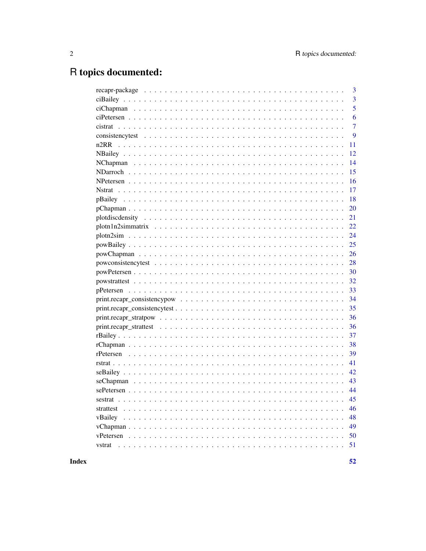## R topics documented:

| 3                                                                                                                  |
|--------------------------------------------------------------------------------------------------------------------|
| $\overline{3}$                                                                                                     |
| $\overline{5}$                                                                                                     |
| 6                                                                                                                  |
| $\overline{7}$                                                                                                     |
| 9                                                                                                                  |
| 11                                                                                                                 |
| 12                                                                                                                 |
| 14                                                                                                                 |
| 15                                                                                                                 |
| 16                                                                                                                 |
| 17                                                                                                                 |
| 18                                                                                                                 |
| 20                                                                                                                 |
| 21                                                                                                                 |
| 22                                                                                                                 |
| 24                                                                                                                 |
| 25                                                                                                                 |
| 26                                                                                                                 |
| 28                                                                                                                 |
| 30                                                                                                                 |
| 32                                                                                                                 |
| 33                                                                                                                 |
| 34                                                                                                                 |
| 35                                                                                                                 |
| 36<br>$print.readpr\_stratpow \ldots \ldots \ldots \ldots \ldots \ldots \ldots \ldots \ldots \ldots \ldots \ldots$ |
| 36                                                                                                                 |
| 37                                                                                                                 |
| 38                                                                                                                 |
| 39                                                                                                                 |
| 41                                                                                                                 |
| 42                                                                                                                 |
| 43                                                                                                                 |
| 44                                                                                                                 |
| 45                                                                                                                 |
| 46                                                                                                                 |
| 48                                                                                                                 |
| 49                                                                                                                 |
| 50                                                                                                                 |
| vstrat                                                                                                             |

**Index**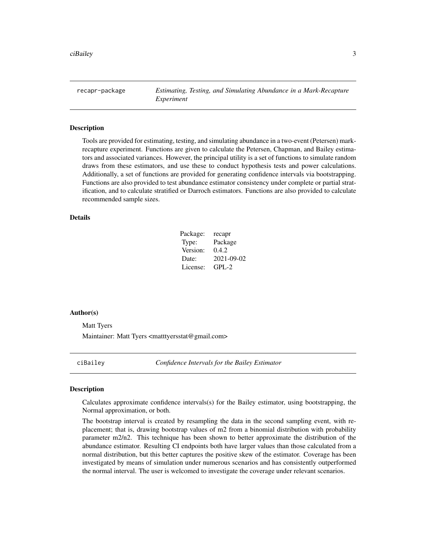<span id="page-2-0"></span>recapr-package *Estimating, Testing, and Simulating Abundance in a Mark-Recapture Experiment*

#### Description

Tools are provided for estimating, testing, and simulating abundance in a two-event (Petersen) markrecapture experiment. Functions are given to calculate the Petersen, Chapman, and Bailey estimators and associated variances. However, the principal utility is a set of functions to simulate random draws from these estimators, and use these to conduct hypothesis tests and power calculations. Additionally, a set of functions are provided for generating confidence intervals via bootstrapping. Functions are also provided to test abundance estimator consistency under complete or partial stratification, and to calculate stratified or Darroch estimators. Functions are also provided to calculate recommended sample sizes.

### Details

| Package: | recapr     |
|----------|------------|
| Type:    | Package    |
| Version: | 0.4.2      |
| Date:    | 2021-09-02 |
| License: | $GPI - 2$  |

#### Author(s)

Matt Tyers Maintainer: Matt Tyers <matttyersstat@gmail.com>

<span id="page-2-1"></span>ciBailey *Confidence Intervals for the Bailey Estimator*

#### **Description**

Calculates approximate confidence intervals(s) for the Bailey estimator, using bootstrapping, the Normal approximation, or both.

The bootstrap interval is created by resampling the data in the second sampling event, with replacement; that is, drawing bootstrap values of m2 from a binomial distribution with probability parameter m2/n2. This technique has been shown to better approximate the distribution of the abundance estimator. Resulting CI endpoints both have larger values than those calculated from a normal distribution, but this better captures the positive skew of the estimator. Coverage has been investigated by means of simulation under numerous scenarios and has consistently outperformed the normal interval. The user is welcomed to investigate the coverage under relevant scenarios.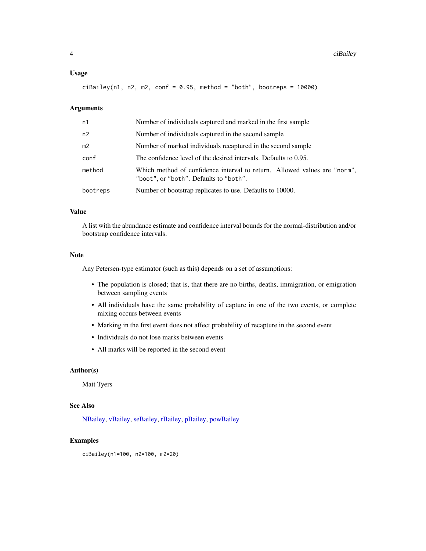#### <span id="page-3-0"></span>Usage

ciBailey(n1, n2, m2, conf =  $0.95$ , method = "both", bootreps = 10000)

### Arguments

| n1             | Number of individuals captured and marked in the first sample                                                       |
|----------------|---------------------------------------------------------------------------------------------------------------------|
| n2             | Number of individuals captured in the second sample                                                                 |
| m <sub>2</sub> | Number of marked individuals recaptured in the second sample                                                        |
| conf           | The confidence level of the desired intervals. Defaults to 0.95.                                                    |
| method         | Which method of confidence interval to return. Allowed values are "norm",<br>"boot", or "both". Defaults to "both". |
| bootreps       | Number of bootstrap replicates to use. Defaults to 10000.                                                           |

### Value

A list with the abundance estimate and confidence interval bounds for the normal-distribution and/or bootstrap confidence intervals.

#### Note

Any Petersen-type estimator (such as this) depends on a set of assumptions:

- The population is closed; that is, that there are no births, deaths, immigration, or emigration between sampling events
- All individuals have the same probability of capture in one of the two events, or complete mixing occurs between events
- Marking in the first event does not affect probability of recapture in the second event
- Individuals do not lose marks between events
- All marks will be reported in the second event

#### Author(s)

Matt Tyers

### See Also

[NBailey,](#page-11-1) [vBailey,](#page-47-1) [seBailey,](#page-41-1) [rBailey,](#page-36-1) [pBailey,](#page-17-1) [powBailey](#page-24-1)

### Examples

ciBailey(n1=100, n2=100, m2=20)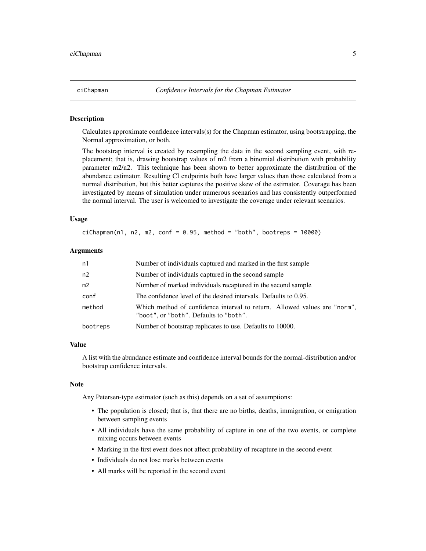<span id="page-4-1"></span><span id="page-4-0"></span>

Calculates approximate confidence intervals(s) for the Chapman estimator, using bootstrapping, the Normal approximation, or both.

The bootstrap interval is created by resampling the data in the second sampling event, with replacement; that is, drawing bootstrap values of m2 from a binomial distribution with probability parameter m2/n2. This technique has been shown to better approximate the distribution of the abundance estimator. Resulting CI endpoints both have larger values than those calculated from a normal distribution, but this better captures the positive skew of the estimator. Coverage has been investigated by means of simulation under numerous scenarios and has consistently outperformed the normal interval. The user is welcomed to investigate the coverage under relevant scenarios.

### Usage

```
cichapman(n1, n2, m2, conf = 0.95, method = "both", bootreps = <math>10000</math>)
```
### Arguments

| n1             | Number of individuals captured and marked in the first sample                                                       |
|----------------|---------------------------------------------------------------------------------------------------------------------|
| n2             | Number of individuals captured in the second sample                                                                 |
| m <sub>2</sub> | Number of marked individuals recaptured in the second sample                                                        |
| conf           | The confidence level of the desired intervals. Defaults to 0.95.                                                    |
| method         | Which method of confidence interval to return. Allowed values are "norm",<br>"boot", or "both". Defaults to "both". |
| bootreps       | Number of bootstrap replicates to use. Defaults to 10000.                                                           |

### Value

A list with the abundance estimate and confidence interval bounds for the normal-distribution and/or bootstrap confidence intervals.

#### **Note**

- The population is closed; that is, that there are no births, deaths, immigration, or emigration between sampling events
- All individuals have the same probability of capture in one of the two events, or complete mixing occurs between events
- Marking in the first event does not affect probability of recapture in the second event
- Individuals do not lose marks between events
- All marks will be reported in the second event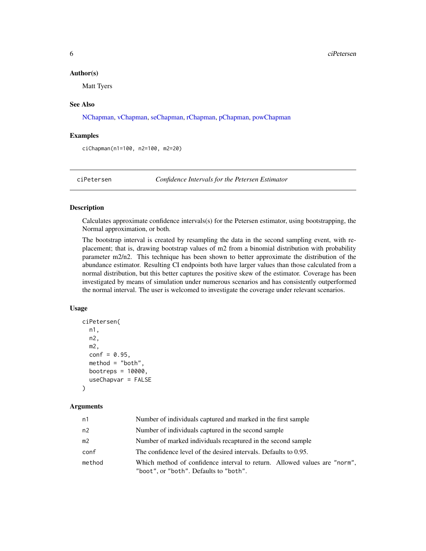#### <span id="page-5-0"></span>Author(s)

Matt Tyers

### See Also

[NChapman,](#page-13-1) [vChapman,](#page-48-1) [seChapman,](#page-42-1) [rChapman,](#page-37-1) [pChapman,](#page-19-1) [powChapman](#page-25-1)

### Examples

ciChapman(n1=100, n2=100, m2=20)

<span id="page-5-1"></span>ciPetersen *Confidence Intervals for the Petersen Estimator*

#### Description

Calculates approximate confidence intervals(s) for the Petersen estimator, using bootstrapping, the Normal approximation, or both.

The bootstrap interval is created by resampling the data in the second sampling event, with replacement; that is, drawing bootstrap values of m2 from a binomial distribution with probability parameter m2/n2. This technique has been shown to better approximate the distribution of the abundance estimator. Resulting CI endpoints both have larger values than those calculated from a normal distribution, but this better captures the positive skew of the estimator. Coverage has been investigated by means of simulation under numerous scenarios and has consistently outperformed the normal interval. The user is welcomed to investigate the coverage under relevant scenarios.

### Usage

```
ciPetersen(
  n1,
  n2,
  m2,
  conf = 0.95,
  method = "both",
  bootreps = 10000,
  useChapvar = FALSE
)
```
#### Arguments

| n1             | Number of individuals captured and marked in the first sample                                                       |
|----------------|---------------------------------------------------------------------------------------------------------------------|
| n2             | Number of individuals captured in the second sample                                                                 |
| m <sub>2</sub> | Number of marked individuals recaptured in the second sample                                                        |
| conf           | The confidence level of the desired intervals. Defaults to 0.95.                                                    |
| method         | Which method of confidence interval to return. Allowed values are "norm",<br>"boot", or "both". Defaults to "both". |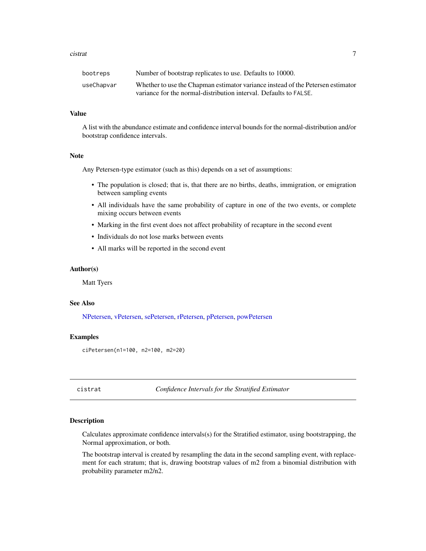#### <span id="page-6-0"></span>cistrat 7 and 7 and 7 and 7 and 7 and 7 and 7 and 7 and 7 and 7 and 7 and 7 and 7 and 7 and 7 and 7 and 7 and 7

| bootreps   | Number of bootstrap replicates to use. Defaults to 10000.                       |
|------------|---------------------------------------------------------------------------------|
| useChapvar | Whether to use the Chapman estimator variance instead of the Petersen estimator |
|            | variance for the normal-distribution interval. Defaults to FALSE.               |

#### Value

A list with the abundance estimate and confidence interval bounds for the normal-distribution and/or bootstrap confidence intervals.

#### Note

Any Petersen-type estimator (such as this) depends on a set of assumptions:

- The population is closed; that is, that there are no births, deaths, immigration, or emigration between sampling events
- All individuals have the same probability of capture in one of the two events, or complete mixing occurs between events
- Marking in the first event does not affect probability of recapture in the second event
- Individuals do not lose marks between events
- All marks will be reported in the second event

#### Author(s)

Matt Tyers

#### See Also

[NPetersen,](#page-15-1) [vPetersen,](#page-49-1) [sePetersen,](#page-43-1) [rPetersen,](#page-38-1) [pPetersen,](#page-32-1) [powPetersen](#page-29-1)

#### Examples

ciPetersen(n1=100, n2=100, m2=20)

<span id="page-6-1"></span>cistrat *Confidence Intervals for the Stratified Estimator*

### Description

Calculates approximate confidence intervals(s) for the Stratified estimator, using bootstrapping, the Normal approximation, or both.

The bootstrap interval is created by resampling the data in the second sampling event, with replacement for each stratum; that is, drawing bootstrap values of m2 from a binomial distribution with probability parameter m2/n2.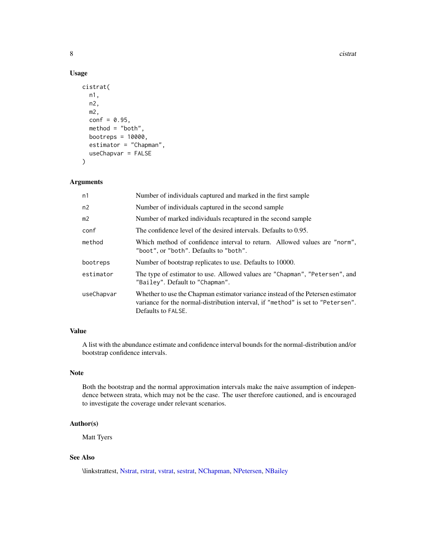8 cistrat control of the control of the control of the control of the control of the control of the control of the control of the control of the control of the control of the control of the control of the control of the co

### Usage

```
cistrat(
  n1,
  n2,
 m2,
 conf = 0.95,method = "both",
 bootreps = 10000,
  estimator = "Chapman",
  useChapvar = FALSE
)
```
#### Arguments

| n1             | Number of individuals captured and marked in the first sample                                                                                                                             |
|----------------|-------------------------------------------------------------------------------------------------------------------------------------------------------------------------------------------|
| n2             | Number of individuals captured in the second sample.                                                                                                                                      |
| m <sub>2</sub> | Number of marked individuals recaptured in the second sample                                                                                                                              |
| conf           | The confidence level of the desired intervals. Defaults to 0.95.                                                                                                                          |
| method         | Which method of confidence interval to return. Allowed values are "norm",<br>"boot", or "both". Defaults to "both".                                                                       |
| bootreps       | Number of bootstrap replicates to use. Defaults to 10000.                                                                                                                                 |
| estimator      | The type of estimator to use. Allowed values are "Chapman", "Petersen", and<br>"Bailey". Default to "Chapman".                                                                            |
| useChapvar     | Whether to use the Chapman estimator variance instead of the Petersen estimator<br>variance for the normal-distribution interval, if "method" is set to "Petersen".<br>Defaults to FALSE. |
|                |                                                                                                                                                                                           |

### Value

A list with the abundance estimate and confidence interval bounds for the normal-distribution and/or bootstrap confidence intervals.

### Note

Both the bootstrap and the normal approximation intervals make the naive assumption of independence between strata, which may not be the case. The user therefore cautioned, and is encouraged to investigate the coverage under relevant scenarios.

### Author(s)

Matt Tyers

### See Also

\linkstrattest, [Nstrat,](#page-16-1) [rstrat,](#page-40-1) [vstrat,](#page-50-1) [sestrat,](#page-44-1) [NChapman,](#page-13-1) [NPetersen,](#page-15-1) [NBailey](#page-11-1)

<span id="page-7-0"></span>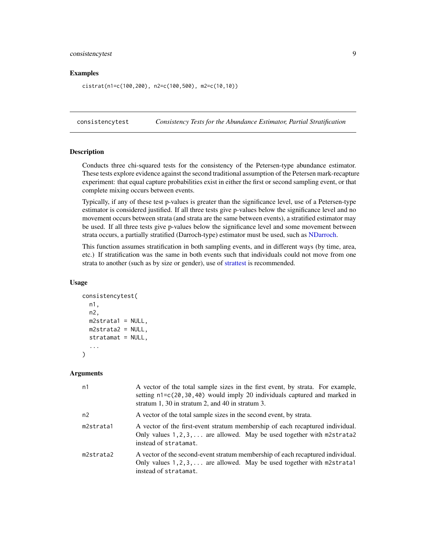### <span id="page-8-0"></span>consistencytest 9

### Examples

cistrat(n1=c(100,200), n2=c(100,500), m2=c(10,10))

<span id="page-8-1"></span>consistencytest *Consistency Tests for the Abundance Estimator, Partial Stratification*

#### Description

Conducts three chi-squared tests for the consistency of the Petersen-type abundance estimator. These tests explore evidence against the second traditional assumption of the Petersen mark-recapture experiment: that equal capture probabilities exist in either the first or second sampling event, or that complete mixing occurs between events.

Typically, if any of these test p-values is greater than the significance level, use of a Petersen-type estimator is considered justified. If all three tests give p-values below the significance level and no movement occurs between strata (and strata are the same between events), a stratified estimator may be used. If all three tests give p-values below the significance level and some movement between strata occurs, a partially stratified (Darroch-type) estimator must be used, such as [NDarroch.](#page-14-1)

This function assumes stratification in both sampling events, and in different ways (by time, area, etc.) If stratification was the same in both events such that individuals could not move from one strata to another (such as by size or gender), use of [strattest](#page-45-1) is recommended.

#### Usage

```
consistencytest(
  n1,
 n2,
 m2strata1 = NULL,
 m2strata2 = NULL,
  stratamat = NULL,
  ...
)
```
#### Arguments

| n1        | A vector of the total sample sizes in the first event, by strata. For example,<br>setting $n1 = c(20, 30, 40)$ would imply 20 individuals captured and marked in<br>stratum 1, 30 in stratum 2, and 40 in stratum 3. |
|-----------|----------------------------------------------------------------------------------------------------------------------------------------------------------------------------------------------------------------------|
| n2        | A vector of the total sample sizes in the second event, by strata.                                                                                                                                                   |
| m2strata1 | A vector of the first-event stratum membership of each recaptured individual.<br>Only values $1, 2, 3, \ldots$ are allowed. May be used together with m2strata2<br>instead of stratamat.                             |
| m2strata2 | A vector of the second-event stratum membership of each recaptured individual.<br>Only values $1, 2, 3, \ldots$ are allowed. May be used together with m2strata1<br>instead of stratamat.                            |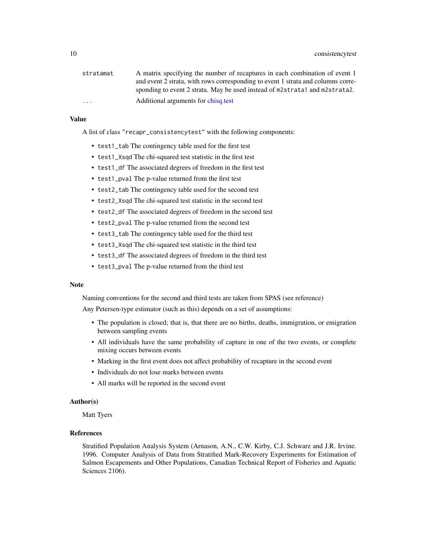<span id="page-9-0"></span>

| stratamat               | A matrix specifying the number of recaptures in each combination of event 1      |
|-------------------------|----------------------------------------------------------------------------------|
|                         | and event 2 strata, with rows corresponding to event 1 strata and columns corre- |
|                         | sponding to event 2 strata. May be used instead of m2strata1 and m2strata2.      |
| $\cdot$ $\cdot$ $\cdot$ | Additional arguments for chisq.test                                              |

### Value

A list of class "recapr\_consistencytest" with the following components:

- test1\_tab The contingency table used for the first test
- test1\_Xsqd The chi-squared test statistic in the first test
- test1\_df The associated degrees of freedom in the first test
- test1\_pval The p-value returned from the first test
- test2\_tab The contingency table used for the second test
- test2\_Xsqd The chi-squared test statistic in the second test
- test2\_df The associated degrees of freedom in the second test
- test2\_pval The p-value returned from the second test
- test3\_tab The contingency table used for the third test
- test3\_Xsqd The chi-squared test statistic in the third test
- test3\_df The associated degrees of freedom in the third test
- test3\_pval The p-value returned from the third test

#### Note

Naming conventions for the second and third tests are taken from SPAS (see reference)

Any Petersen-type estimator (such as this) depends on a set of assumptions:

- The population is closed; that is, that there are no births, deaths, immigration, or emigration between sampling events
- All individuals have the same probability of capture in one of the two events, or complete mixing occurs between events
- Marking in the first event does not affect probability of recapture in the second event
- Individuals do not lose marks between events
- All marks will be reported in the second event

#### Author(s)

Matt Tyers

#### References

Stratified Population Analysis System (Arnason, A.N., C.W. Kirby, C.J. Schwarz and J.R. Irvine. 1996. Computer Analysis of Data from Stratified Mark-Recovery Experiments for Estimation of Salmon Escapements and Other Populations, Canadian Technical Report of Fisheries and Aquatic Sciences 2106).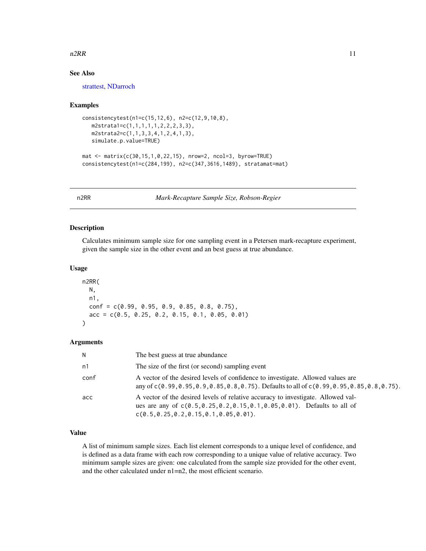#### <span id="page-10-0"></span> $n2RR$  11

### See Also

[strattest,](#page-45-1) [NDarroch](#page-14-1)

#### Examples

```
consistencytest(n1=c(15,12,6), n2=c(12,9,10,8),
   m2strata1=c(1,1,1,1,1,2,2,2,3,3),
   m2strata2=c(1,1,3,3,4,1,2,4,1,3),
   simulate.p.value=TRUE)
mat <- matrix(c(30,15,1,0,22,15), nrow=2, ncol=3, byrow=TRUE)
consistencytest(n1=c(284,199), n2=c(347,3616,1489), stratamat=mat)
```
<span id="page-10-1"></span>

n2RR *Mark-Recapture Sample Size, Robson-Regier*

#### Description

Calculates minimum sample size for one sampling event in a Petersen mark-recapture experiment, given the sample size in the other event and an best guess at true abundance.

#### Usage

```
n2RR(
 N,
 n1,
 conf = c(0.99, 0.95, 0.9, 0.85, 0.8, 0.75),
 acc = c(0.5, 0.25, 0.2, 0.15, 0.1, 0.05, 0.01))
```
### Arguments

| N    | The best guess at true abundance                                                                                                                                                                         |
|------|----------------------------------------------------------------------------------------------------------------------------------------------------------------------------------------------------------|
| n1   | The size of the first (or second) sampling event                                                                                                                                                         |
| conf | A vector of the desired levels of confidence to investigate. Allowed values are<br>any of $c(0.99, 0.95, 0.9, 0.85, 0.8, 0.75)$ . Defaults to all of $c(0.99, 0.95, 0.85, 0.8, 0.75)$ .                  |
| acc  | A vector of the desired levels of relative accuracy to investigate. Allowed val-<br>ues are any of c(0.5,0.25,0.2,0.15,0.1,0.05,0.01). Defaults to all of<br>$c(0.5, 0.25, 0.2, 0.15, 0.1, 0.05, 0.01).$ |

### Value

A list of minimum sample sizes. Each list element corresponds to a unique level of confidence, and is defined as a data frame with each row corresponding to a unique value of relative accuracy. Two minimum sample sizes are given: one calculated from the sample size provided for the other event, and the other calculated under n1=n2, the most efficient scenario.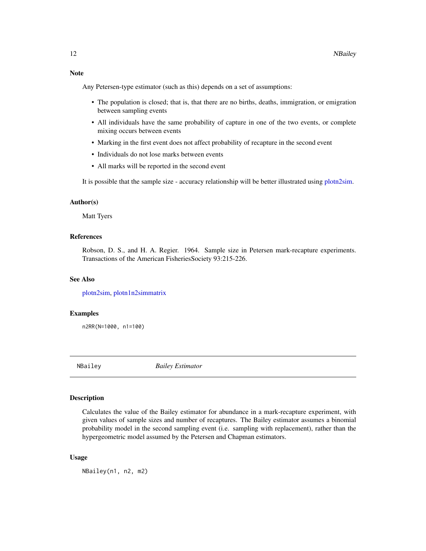### <span id="page-11-0"></span>Note

Any Petersen-type estimator (such as this) depends on a set of assumptions:

- The population is closed; that is, that there are no births, deaths, immigration, or emigration between sampling events
- All individuals have the same probability of capture in one of the two events, or complete mixing occurs between events
- Marking in the first event does not affect probability of recapture in the second event
- Individuals do not lose marks between events
- All marks will be reported in the second event

It is possible that the sample size - accuracy relationship will be better illustrated using [plotn2sim.](#page-23-1)

### Author(s)

Matt Tyers

### References

Robson, D. S., and H. A. Regier. 1964. Sample size in Petersen mark-recapture experiments. Transactions of the American FisheriesSociety 93:215-226.

#### See Also

[plotn2sim,](#page-23-1) [plotn1n2simmatrix](#page-21-1)

### Examples

n2RR(N=1000, n1=100)

<span id="page-11-1"></span>NBailey *Bailey Estimator*

### Description

Calculates the value of the Bailey estimator for abundance in a mark-recapture experiment, with given values of sample sizes and number of recaptures. The Bailey estimator assumes a binomial probability model in the second sampling event (i.e. sampling with replacement), rather than the hypergeometric model assumed by the Petersen and Chapman estimators.

#### Usage

NBailey(n1, n2, m2)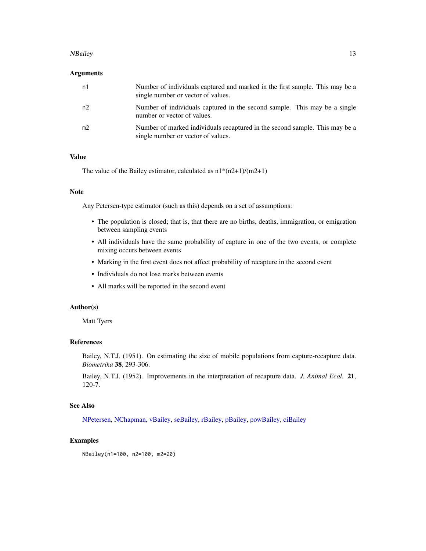#### <span id="page-12-0"></span>NBailey 13

### Arguments

| n1             | Number of individuals captured and marked in the first sample. This may be a<br>single number or vector of values. |
|----------------|--------------------------------------------------------------------------------------------------------------------|
| n2             | Number of individuals captured in the second sample. This may be a single<br>number or vector of values.           |
| m <sub>2</sub> | Number of marked individuals recaptured in the second sample. This may be a<br>single number or vector of values.  |

### Value

The value of the Bailey estimator, calculated as  $n1*(n2+1)/(m2+1)$ 

### Note

Any Petersen-type estimator (such as this) depends on a set of assumptions:

- The population is closed; that is, that there are no births, deaths, immigration, or emigration between sampling events
- All individuals have the same probability of capture in one of the two events, or complete mixing occurs between events
- Marking in the first event does not affect probability of recapture in the second event
- Individuals do not lose marks between events
- All marks will be reported in the second event

### Author(s)

Matt Tyers

### References

Bailey, N.T.J. (1951). On estimating the size of mobile populations from capture-recapture data. *Biometrika* 38, 293-306.

Bailey, N.T.J. (1952). Improvements in the interpretation of recapture data. *J. Animal Ecol.* 21, 120-7.

#### See Also

[NPetersen,](#page-15-1) [NChapman,](#page-13-1) [vBailey,](#page-47-1) [seBailey,](#page-41-1) [rBailey,](#page-36-1) [pBailey,](#page-17-1) [powBailey,](#page-24-1) [ciBailey](#page-2-1)

### Examples

NBailey(n1=100, n2=100, m2=20)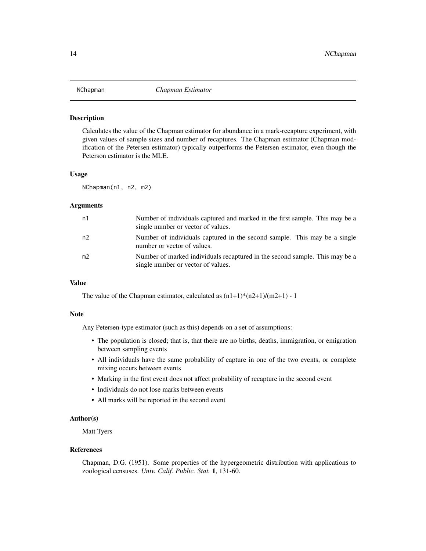<span id="page-13-1"></span><span id="page-13-0"></span>

Calculates the value of the Chapman estimator for abundance in a mark-recapture experiment, with given values of sample sizes and number of recaptures. The Chapman estimator (Chapman modification of the Petersen estimator) typically outperforms the Petersen estimator, even though the Peterson estimator is the MLE.

#### Usage

NChapman(n1, n2, m2)

#### Arguments

| n1             | Number of individuals captured and marked in the first sample. This may be a<br>single number or vector of values. |
|----------------|--------------------------------------------------------------------------------------------------------------------|
| n <sub>2</sub> | Number of individuals captured in the second sample. This may be a single<br>number or vector of values.           |
| m2             | Number of marked individuals recaptured in the second sample. This may be a<br>single number or vector of values.  |

### Value

The value of the Chapman estimator, calculated as  $(n1+1)*(n2+1)/(m2+1) - 1$ 

### Note

Any Petersen-type estimator (such as this) depends on a set of assumptions:

- The population is closed; that is, that there are no births, deaths, immigration, or emigration between sampling events
- All individuals have the same probability of capture in one of the two events, or complete mixing occurs between events
- Marking in the first event does not affect probability of recapture in the second event
- Individuals do not lose marks between events
- All marks will be reported in the second event

#### Author(s)

Matt Tyers

#### References

Chapman, D.G. (1951). Some properties of the hypergeometric distribution with applications to zoological censuses. *Univ. Calif. Public. Stat.* 1, 131-60.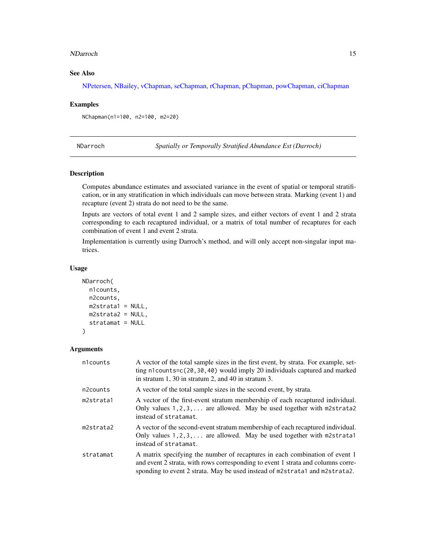#### <span id="page-14-0"></span>NDarroch is a complete that the contract of the contract of the contract of the contract of the contract of the contract of the contract of the contract of the contract of the contract of the contract of the contract of th

### See Also

[NPetersen,](#page-15-1) [NBailey,](#page-11-1) [vChapman,](#page-48-1) [seChapman,](#page-42-1) [rChapman,](#page-37-1) [pChapman,](#page-19-1) [powChapman,](#page-25-1) [ciChapman](#page-4-1)

### Examples

NChapman(n1=100, n2=100, m2=20)

<span id="page-14-1"></span>NDarroch *Spatially or Temporally Stratified Abundance Est (Darroch)*

### Description

Computes abundance estimates and associated variance in the event of spatial or temporal stratification, or in any stratification in which individuals can move between strata. Marking (event 1) and recapture (event 2) strata do not need to be the same.

Inputs are vectors of total event 1 and 2 sample sizes, and either vectors of event 1 and 2 strata corresponding to each recaptured individual, or a matrix of total number of recaptures for each combination of event 1 and event 2 strata.

Implementation is currently using Darroch's method, and will only accept non-singular input matrices.

### Usage

```
NDarroch(
  n1counts,
  n2counts,
 m2strata1 = NULL,
 m2strata2 = NULL,
  stratamat = NULL
)
```
### Arguments

| n1counts  | A vector of the total sample sizes in the first event, by strata. For example, set-<br>ting n1counts= $c(20, 30, 40)$ would imply 20 individuals captured and marked<br>in stratum 1, 30 in stratum 2, and 40 in stratum 3.                    |
|-----------|------------------------------------------------------------------------------------------------------------------------------------------------------------------------------------------------------------------------------------------------|
| n2counts  | A vector of the total sample sizes in the second event, by strata.                                                                                                                                                                             |
| m2strata1 | A vector of the first-event stratum membership of each recaptured individual.<br>Only values $1, 2, 3, \ldots$ are allowed. May be used together with m2strata2<br>instead of stratamat.                                                       |
| m2strata2 | A vector of the second-event stratum membership of each recaptured individual.<br>Only values $1, 2, 3, \ldots$ are allowed. May be used together with m2strata1<br>instead of stratamat.                                                      |
| stratamat | A matrix specifying the number of recaptures in each combination of event 1<br>and event 2 strata, with rows corresponding to event 1 strata and columns corre-<br>sponding to event 2 strata. May be used instead of m2strata1 and m2strata2. |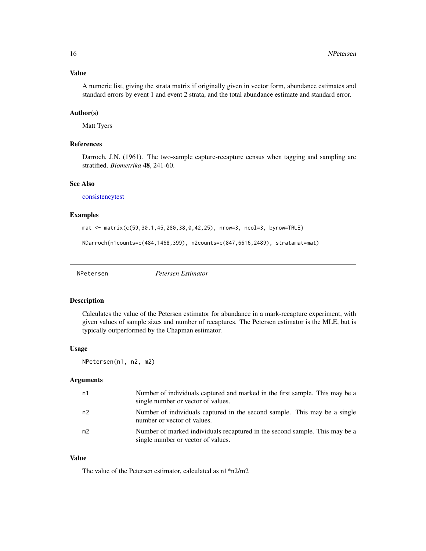### <span id="page-15-0"></span>Value

A numeric list, giving the strata matrix if originally given in vector form, abundance estimates and standard errors by event 1 and event 2 strata, and the total abundance estimate and standard error.

#### Author(s)

Matt Tyers

#### References

Darroch, J.N. (1961). The two-sample capture-recapture census when tagging and sampling are stratified. *Biometrika* 48, 241-60.

### See Also

[consistencytest](#page-8-1)

#### Examples

```
mat <- matrix(c(59,30,1,45,280,38,0,42,25), nrow=3, ncol=3, byrow=TRUE)
```

```
NDarroch(n1counts=c(484,1468,399), n2counts=c(847,6616,2489), stratamat=mat)
```
<span id="page-15-1"></span>

| NPetersen |  |
|-----------|--|
|-----------|--|

NPetersen *Petersen Estimator*

#### Description

Calculates the value of the Petersen estimator for abundance in a mark-recapture experiment, with given values of sample sizes and number of recaptures. The Petersen estimator is the MLE, but is typically outperformed by the Chapman estimator.

#### Usage

```
NPetersen(n1, n2, m2)
```
#### Arguments

| n1             | Number of individuals captured and marked in the first sample. This may be a<br>single number or vector of values. |
|----------------|--------------------------------------------------------------------------------------------------------------------|
| n2             | Number of individuals captured in the second sample. This may be a single<br>number or vector of values.           |
| m <sub>2</sub> | Number of marked individuals recaptured in the second sample. This may be a<br>single number or vector of values.  |

### Value

The value of the Petersen estimator, calculated as n1\*n2/m2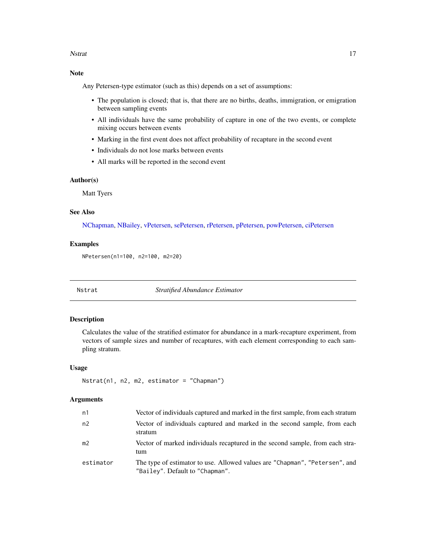#### <span id="page-16-0"></span>Nstrat 17

### Note

Any Petersen-type estimator (such as this) depends on a set of assumptions:

- The population is closed; that is, that there are no births, deaths, immigration, or emigration between sampling events
- All individuals have the same probability of capture in one of the two events, or complete mixing occurs between events
- Marking in the first event does not affect probability of recapture in the second event
- Individuals do not lose marks between events
- All marks will be reported in the second event

### Author(s)

Matt Tyers

### See Also

[NChapman,](#page-13-1) [NBailey,](#page-11-1) [vPetersen,](#page-49-1) [sePetersen,](#page-43-1) [rPetersen,](#page-38-1) [pPetersen,](#page-32-1) [powPetersen,](#page-29-1) [ciPetersen](#page-5-1)

#### Examples

NPetersen(n1=100, n2=100, m2=20)

<span id="page-16-1"></span>

Nstrat *Stratified Abundance Estimator*

### Description

Calculates the value of the stratified estimator for abundance in a mark-recapture experiment, from vectors of sample sizes and number of recaptures, with each element corresponding to each sampling stratum.

### Usage

Nstrat(n1, n2, m2, estimator = "Chapman")

#### Arguments

| n1        | Vector of individuals captured and marked in the first sample, from each stratum                               |
|-----------|----------------------------------------------------------------------------------------------------------------|
| n2        | Vector of individuals captured and marked in the second sample, from each<br>stratum                           |
| m2        | Vector of marked individuals recaptured in the second sample, from each stra-<br>tum                           |
| estimator | The type of estimator to use. Allowed values are "Chapman", "Petersen", and<br>"Bailey". Default to "Chapman". |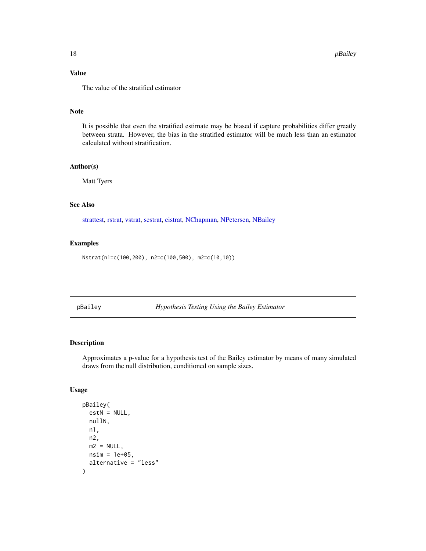<span id="page-17-0"></span>The value of the stratified estimator

### Note

It is possible that even the stratified estimate may be biased if capture probabilities differ greatly between strata. However, the bias in the stratified estimator will be much less than an estimator calculated without stratification.

### Author(s)

Matt Tyers

### See Also

[strattest,](#page-45-1) [rstrat,](#page-40-1) [vstrat,](#page-50-1) [sestrat,](#page-44-1) [cistrat,](#page-6-1) [NChapman,](#page-13-1) [NPetersen,](#page-15-1) [NBailey](#page-11-1)

### Examples

Nstrat(n1=c(100,200), n2=c(100,500), m2=c(10,10))

<span id="page-17-1"></span>pBailey *Hypothesis Testing Using the Bailey Estimator*

#### Description

Approximates a p-value for a hypothesis test of the Bailey estimator by means of many simulated draws from the null distribution, conditioned on sample sizes.

### Usage

```
pBailey(
  estN = NULL,nullN,
 n1,
 n2,
 m2 = NULL,
 nsim = 1e+05,
  alternative = "less"
)
```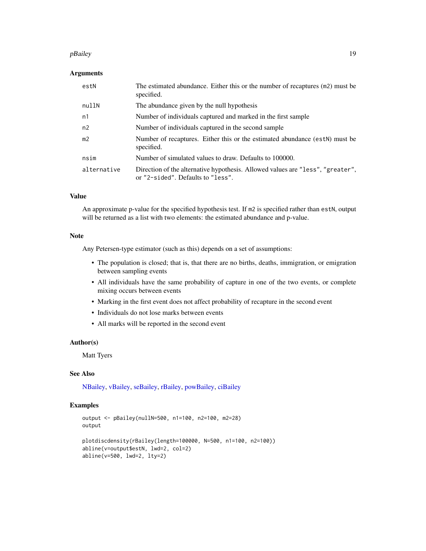#### <span id="page-18-0"></span>pBailey 19

#### Arguments

| estN           | The estimated abundance. Either this or the number of recaptures (m2) must be<br>specified.                         |
|----------------|---------------------------------------------------------------------------------------------------------------------|
| nullN          | The abundance given by the null hypothesis                                                                          |
| n1             | Number of individuals captured and marked in the first sample                                                       |
| n <sub>2</sub> | Number of individuals captured in the second sample                                                                 |
| m <sub>2</sub> | Number of recaptures. Either this or the estimated abundance (estN) must be<br>specified.                           |
| nsim           | Number of simulated values to draw. Defaults to 100000.                                                             |
| alternative    | Direction of the alternative hypothesis. Allowed values are "less", "greater",<br>or "2-sided". Defaults to "less". |

### Value

An approximate p-value for the specified hypothesis test. If m2 is specified rather than estN, output will be returned as a list with two elements: the estimated abundance and p-value.

#### Note

Any Petersen-type estimator (such as this) depends on a set of assumptions:

- The population is closed; that is, that there are no births, deaths, immigration, or emigration between sampling events
- All individuals have the same probability of capture in one of the two events, or complete mixing occurs between events
- Marking in the first event does not affect probability of recapture in the second event
- Individuals do not lose marks between events
- All marks will be reported in the second event

### Author(s)

Matt Tyers

### See Also

[NBailey,](#page-11-1) [vBailey,](#page-47-1) [seBailey,](#page-41-1) [rBailey,](#page-36-1) [powBailey,](#page-24-1) [ciBailey](#page-2-1)

### Examples

```
output <- pBailey(nullN=500, n1=100, n2=100, m2=28)
output
plotdiscdensity(rBailey(length=100000, N=500, n1=100, n2=100))
abline(v=output$estN, lwd=2, col=2)
abline(v=500, lwd=2, lty=2)
```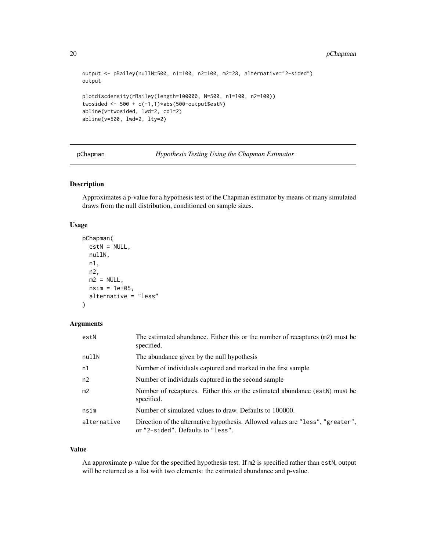### <span id="page-19-0"></span>20 pChapman pchapman pchapman pchapman pchapman pchapman pchapman pchapman pchapman pchapman pchapman pchapman  $p$

```
output <- pBailey(nullN=500, n1=100, n2=100, m2=28, alternative="2-sided")
output
plotdiscdensity(rBailey(length=100000, N=500, n1=100, n2=100))
twosided \leq -500 + c(-1,1)*abs(500-output$estN)abline(v=twosided, lwd=2, col=2)
abline(v=500, lwd=2, lty=2)
```
<span id="page-19-1"></span>pChapman *Hypothesis Testing Using the Chapman Estimator*

### Description

Approximates a p-value for a hypothesis test of the Chapman estimator by means of many simulated draws from the null distribution, conditioned on sample sizes.

#### Usage

```
pChapman(
 estN = NULL,nullN,
 n1,
 n2,
 m2 = NULL,nsim = 1e+05.
 alternative = "less"
\lambda
```
### Arguments

| estN           | The estimated abundance. Either this or the number of recaptures (m2) must be<br>specified.                         |
|----------------|---------------------------------------------------------------------------------------------------------------------|
| nullN          | The abundance given by the null hypothesis                                                                          |
| n1             | Number of individuals captured and marked in the first sample                                                       |
| n2             | Number of individuals captured in the second sample.                                                                |
| m <sub>2</sub> | Number of recaptures. Either this or the estimated abundance (estN) must be<br>specified.                           |
| nsim           | Number of simulated values to draw. Defaults to 100000.                                                             |
| alternative    | Direction of the alternative hypothesis. Allowed values are "less", "greater",<br>or "2-sided". Defaults to "less". |

### Value

An approximate p-value for the specified hypothesis test. If m2 is specified rather than estN, output will be returned as a list with two elements: the estimated abundance and p-value.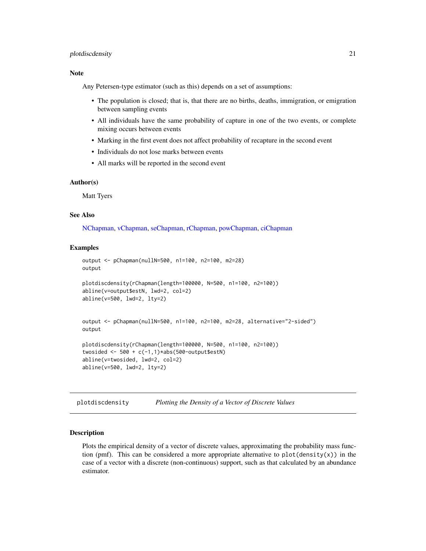#### <span id="page-20-0"></span>plotdiscdensity 21

### Note

Any Petersen-type estimator (such as this) depends on a set of assumptions:

- The population is closed; that is, that there are no births, deaths, immigration, or emigration between sampling events
- All individuals have the same probability of capture in one of the two events, or complete mixing occurs between events
- Marking in the first event does not affect probability of recapture in the second event
- Individuals do not lose marks between events
- All marks will be reported in the second event

#### Author(s)

Matt Tyers

### See Also

[NChapman,](#page-13-1) [vChapman,](#page-48-1) [seChapman,](#page-42-1) [rChapman,](#page-37-1) [powChapman,](#page-25-1) [ciChapman](#page-4-1)

#### Examples

```
output <- pChapman(nullN=500, n1=100, n2=100, m2=28)
output
plotdiscdensity(rChapman(length=100000, N=500, n1=100, n2=100))
abline(v=output$estN, lwd=2, col=2)
abline(v=500, lwd=2, lty=2)
output <- pChapman(nullN=500, n1=100, n2=100, m2=28, alternative="2-sided")
output
plotdiscdensity(rChapman(length=100000, N=500, n1=100, n2=100))
twosided \leq 500 + c(-1,1)*abs(500-output$estN)
abline(v=twosided, lwd=2, col=2)
abline(v=500, lwd=2, lty=2)
```
plotdiscdensity *Plotting the Density of a Vector of Discrete Values*

#### Description

Plots the empirical density of a vector of discrete values, approximating the probability mass function (pmf). This can be considered a more appropriate alternative to  $plot(density(x))$  in the case of a vector with a discrete (non-continuous) support, such as that calculated by an abundance estimator.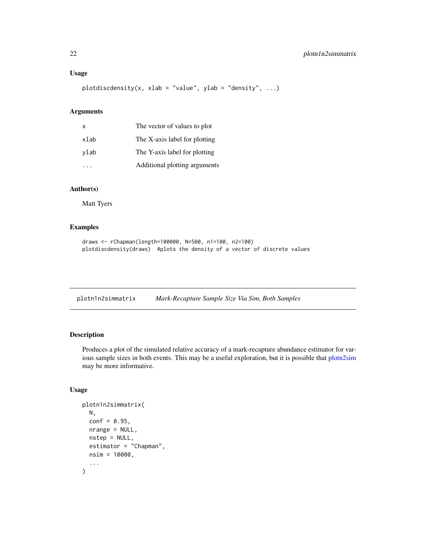### <span id="page-21-0"></span>Usage

```
plotdiscdensity(x, xlab = "value", ylab = "density", ...)
```
### Arguments

| X    | The vector of values to plot  |
|------|-------------------------------|
| xlab | The X-axis label for plotting |
| ylab | The Y-axis label for plotting |
|      | Additional plotting arguments |

### Author(s)

Matt Tyers

### Examples

```
draws <- rChapman(length=100000, N=500, n1=100, n2=100)
plotdiscdensity(draws) #plots the density of a vector of discrete values
```
<span id="page-21-1"></span>plotn1n2simmatrix *Mark-Recapture Sample Size Via Sim, Both Samples*

### Description

Produces a plot of the simulated relative accuracy of a mark-recapture abundance estimator for various sample sizes in both events. This may be a useful exploration, but it is possible that [plotn2sim](#page-23-1) may be more informative.

### Usage

```
plotn1n2simmatrix(
 N,
  conf = 0.95,nrange = NULL,
 nstep = NULL,
  estimator = "Chapman",
 nsim = 10000,
  ...
)
```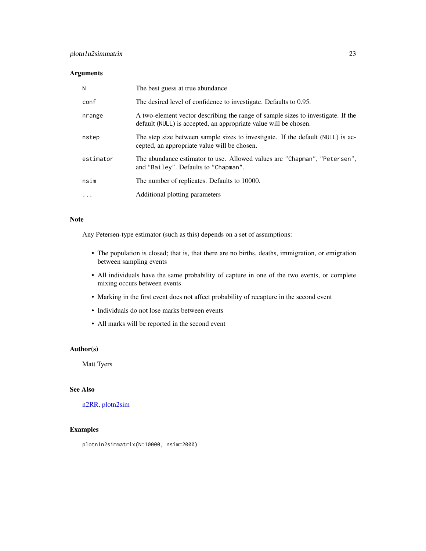### <span id="page-22-0"></span>plotn1n2simmatrix 23

### Arguments

| N         | The best guess at true abundance                                                                                                                     |
|-----------|------------------------------------------------------------------------------------------------------------------------------------------------------|
| conf      | The desired level of confidence to investigate. Defaults to 0.95.                                                                                    |
| nrange    | A two-element vector describing the range of sample sizes to investigate. If the<br>default (NULL) is accepted, an appropriate value will be chosen. |
| nstep     | The step size between sample sizes to investigate. If the default (NULL) is ac-<br>cepted, an appropriate value will be chosen.                      |
| estimator | The abundance estimator to use. Allowed values are "Chapman", "Petersen",<br>and "Bailey". Defaults to "Chapman".                                    |
| nsim      | The number of replicates. Defaults to 10000.                                                                                                         |
| .         | Additional plotting parameters                                                                                                                       |

### Note

Any Petersen-type estimator (such as this) depends on a set of assumptions:

- The population is closed; that is, that there are no births, deaths, immigration, or emigration between sampling events
- All individuals have the same probability of capture in one of the two events, or complete mixing occurs between events
- Marking in the first event does not affect probability of recapture in the second event
- Individuals do not lose marks between events
- All marks will be reported in the second event

### Author(s)

Matt Tyers

### See Also

[n2RR,](#page-10-1) [plotn2sim](#page-23-1)

### Examples

plotn1n2simmatrix(N=10000, nsim=2000)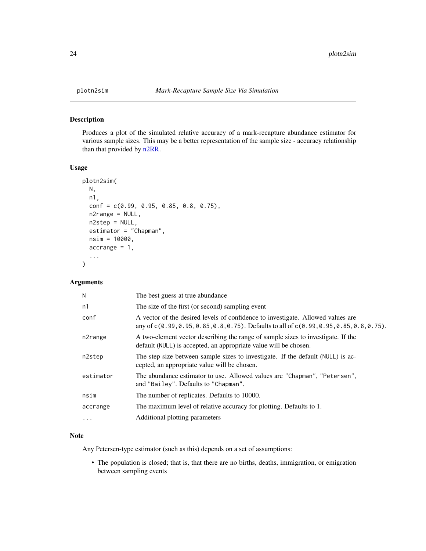Produces a plot of the simulated relative accuracy of a mark-recapture abundance estimator for various sample sizes. This may be a better representation of the sample size - accuracy relationship than that provided by [n2RR.](#page-10-1)

### Usage

```
plotn2sim(
 N,
  n1,
  conf = c(0.99, 0.95, 0.85, 0.8, 0.75),
 n2range = NULL,
 n2step = NULL,
  estimator = "Chapman",
  nsim = 10000,
  accrange = 1,
  ...
)
```
### Arguments

| N         | The best guess at true abundance                                                                                                                                                   |
|-----------|------------------------------------------------------------------------------------------------------------------------------------------------------------------------------------|
| n1        | The size of the first (or second) sampling event                                                                                                                                   |
| conf      | A vector of the desired levels of confidence to investigate. Allowed values are<br>any of $c(0.99, 0.95, 0.85, 0.8, 0.75)$ . Defaults to all of $c(0.99, 0.95, 0.85, 0.8, 0.75)$ . |
| n2range   | A two-element vector describing the range of sample sizes to investigate. If the<br>default (NULL) is accepted, an appropriate value will be chosen.                               |
| n2step    | The step size between sample sizes to investigate. If the default (NULL) is ac-<br>cepted, an appropriate value will be chosen.                                                    |
| estimator | The abundance estimator to use. Allowed values are "Chapman", "Petersen",<br>and "Bailey". Defaults to "Chapman".                                                                  |
| nsim      | The number of replicates. Defaults to 10000.                                                                                                                                       |
| accrange  | The maximum level of relative accuracy for plotting. Defaults to 1.                                                                                                                |
| $\ddotsc$ | Additional plotting parameters                                                                                                                                                     |
|           |                                                                                                                                                                                    |

### Note

Any Petersen-type estimator (such as this) depends on a set of assumptions:

• The population is closed; that is, that there are no births, deaths, immigration, or emigration between sampling events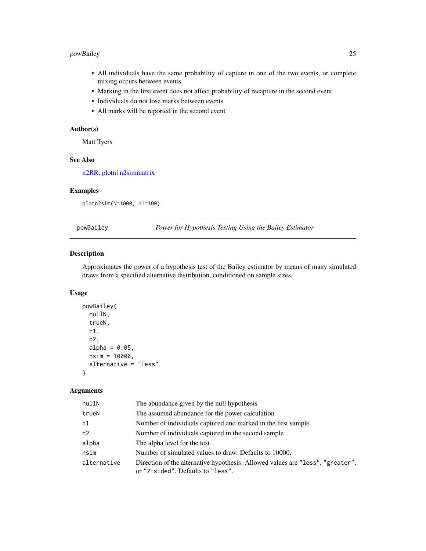### <span id="page-24-0"></span>powBailey 25

- All individuals have the same probability of capture in one of the two events, or complete mixing occurs between events
- Marking in the first event does not affect probability of recapture in the second event
- Individuals do not lose marks between events
- All marks will be reported in the second event

### Author(s)

Matt Tyers

### See Also

[n2RR,](#page-10-1) [plotn1n2simmatrix](#page-21-1)

### Examples

plotn2sim(N=1000, n1=100)

<span id="page-24-1"></span>powBailey *Power for Hypothesis Testing Using the Bailey Estimator*

### Description

Approximates the power of a hypothesis test of the Bailey estimator by means of many simulated draws from a specified alternative distribution, conditioned on sample sizes.

#### Usage

```
powBailey(
 nullN,
  trueN,
  n1,
  n2,
  alpha = 0.05,
  nsim = 10000,
  alternative = "less"
)
```
### Arguments

| nullN       | The abundance given by the null hypothesis                                                                          |
|-------------|---------------------------------------------------------------------------------------------------------------------|
| trueN       | The assumed abundance for the power calculation                                                                     |
| n1          | Number of individuals captured and marked in the first sample                                                       |
| n2          | Number of individuals captured in the second sample                                                                 |
| alpha       | The alpha level for the test                                                                                        |
| nsim        | Number of simulated values to draw. Defaults to 10000.                                                              |
| alternative | Direction of the alternative hypothesis. Allowed values are "less", "greater",<br>or "2-sided". Defaults to "less". |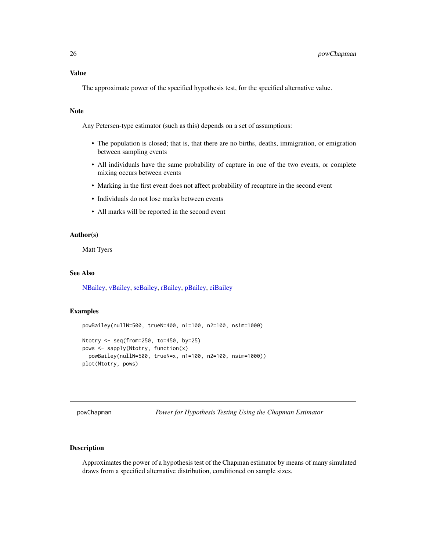### <span id="page-25-0"></span>Value

The approximate power of the specified hypothesis test, for the specified alternative value.

### Note

Any Petersen-type estimator (such as this) depends on a set of assumptions:

- The population is closed; that is, that there are no births, deaths, immigration, or emigration between sampling events
- All individuals have the same probability of capture in one of the two events, or complete mixing occurs between events
- Marking in the first event does not affect probability of recapture in the second event
- Individuals do not lose marks between events
- All marks will be reported in the second event

#### Author(s)

Matt Tyers

### See Also

[NBailey,](#page-11-1) [vBailey,](#page-47-1) [seBailey,](#page-41-1) [rBailey,](#page-36-1) [pBailey,](#page-17-1) [ciBailey](#page-2-1)

#### Examples

```
powBailey(nullN=500, trueN=400, n1=100, n2=100, nsim=1000)
Ntotry <- seq(from=250, to=450, by=25)
pows <- sapply(Ntotry, function(x)
 powBailey(nullN=500, trueN=x, n1=100, n2=100, nsim=1000))
plot(Ntotry, pows)
```
<span id="page-25-1"></span>powChapman *Power for Hypothesis Testing Using the Chapman Estimator*

### **Description**

Approximates the power of a hypothesis test of the Chapman estimator by means of many simulated draws from a specified alternative distribution, conditioned on sample sizes.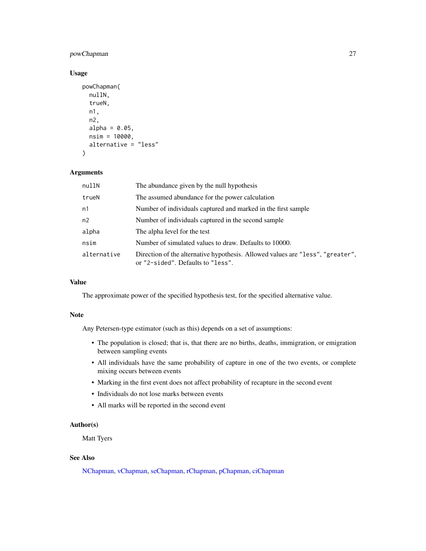### <span id="page-26-0"></span>powChapman 27

### Usage

```
powChapman(
  nullN,
  trueN,
  n1,
  n2,
  alpha = 0.05,
  nsim = 10000,
  alternative = "less"
)
```
### Arguments

| nullN       | The abundance given by the null hypothesis                                                                          |
|-------------|---------------------------------------------------------------------------------------------------------------------|
| trueN       | The assumed abundance for the power calculation                                                                     |
| n1          | Number of individuals captured and marked in the first sample                                                       |
| n2          | Number of individuals captured in the second sample                                                                 |
| alpha       | The alpha level for the test                                                                                        |
| nsim        | Number of simulated values to draw. Defaults to 10000.                                                              |
| alternative | Direction of the alternative hypothesis. Allowed values are "less", "greater",<br>or "2-sided". Defaults to "less". |

### Value

The approximate power of the specified hypothesis test, for the specified alternative value.

#### Note

Any Petersen-type estimator (such as this) depends on a set of assumptions:

- The population is closed; that is, that there are no births, deaths, immigration, or emigration between sampling events
- All individuals have the same probability of capture in one of the two events, or complete mixing occurs between events
- Marking in the first event does not affect probability of recapture in the second event
- Individuals do not lose marks between events
- All marks will be reported in the second event

### Author(s)

Matt Tyers

### See Also

[NChapman,](#page-13-1) [vChapman,](#page-48-1) [seChapman,](#page-42-1) [rChapman,](#page-37-1) [pChapman,](#page-19-1) [ciChapman](#page-4-1)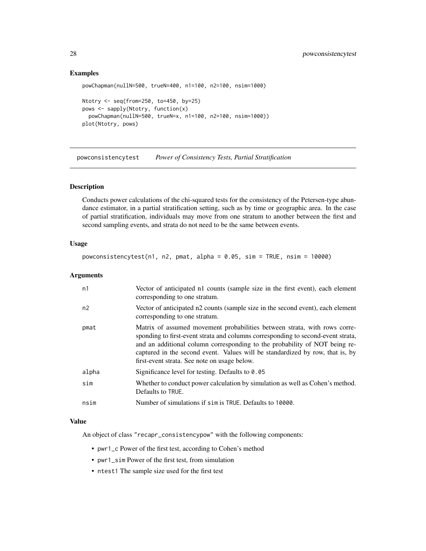### Examples

```
powChapman(nullN=500, trueN=400, n1=100, n2=100, nsim=1000)
Ntotry <- seq(from=250, to=450, by=25)
pows <- sapply(Ntotry, function(x)
  powChapman(nullN=500, trueN=x, n1=100, n2=100, nsim=1000))
plot(Ntotry, pows)
```
powconsistencytest *Power of Consistency Tests, Partial Stratification*

#### Description

Conducts power calculations of the chi-squared tests for the consistency of the Petersen-type abundance estimator, in a partial stratification setting, such as by time or geographic area. In the case of partial stratification, individuals may move from one stratum to another between the first and second sampling events, and strata do not need to be the same between events.

#### Usage

powconsistencytest(n1, n2, pmat, alpha = 0.05, sim = TRUE, nsim = 10000)

### Arguments

| n1    | Vector of anticipated n1 counts (sample size in the first event), each element<br>corresponding to one stratum.                                                                                                                                                                                                                                                              |
|-------|------------------------------------------------------------------------------------------------------------------------------------------------------------------------------------------------------------------------------------------------------------------------------------------------------------------------------------------------------------------------------|
| n2    | Vector of anticipated n2 counts (sample size in the second event), each element<br>corresponding to one stratum.                                                                                                                                                                                                                                                             |
| pmat  | Matrix of assumed movement probabilities between strata, with rows corre-<br>sponding to first-event strata and columns corresponding to second-event strata,<br>and an additional column corresponding to the probability of NOT being re-<br>captured in the second event. Values will be standardized by row, that is, by<br>first-event strata. See note on usage below. |
| alpha | Significance level for testing. Defaults to $0.05$                                                                                                                                                                                                                                                                                                                           |
| sim   | Whether to conduct power calculation by simulation as well as Cohen's method.<br>Defaults to TRUE.                                                                                                                                                                                                                                                                           |
| nsim  | Number of simulations if sim is TRUE. Defaults to 10000.                                                                                                                                                                                                                                                                                                                     |

### Value

An object of class "recapr\_consistencypow" with the following components:

- pwr1\_c Power of the first test, according to Cohen's method
- pwr1\_sim Power of the first test, from simulation
- ntest1 The sample size used for the first test

<span id="page-27-0"></span>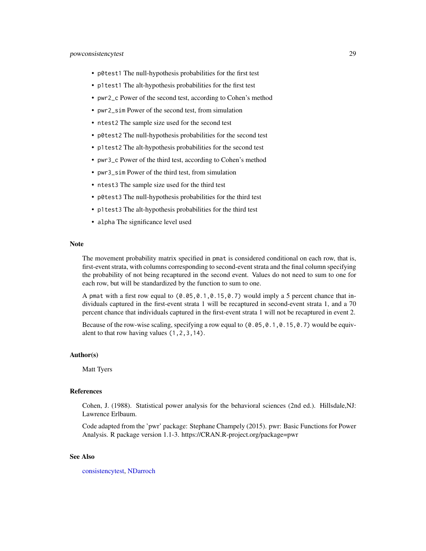### <span id="page-28-0"></span>powconsistencytest 29

- p0test1 The null-hypothesis probabilities for the first test
- p1test1 The alt-hypothesis probabilities for the first test
- pwr2\_c Power of the second test, according to Cohen's method
- pwr2\_sim Power of the second test, from simulation
- ntest2 The sample size used for the second test
- p0test2 The null-hypothesis probabilities for the second test
- p1test2 The alt-hypothesis probabilities for the second test
- pwr3\_c Power of the third test, according to Cohen's method
- pwr3\_sim Power of the third test, from simulation
- ntest3 The sample size used for the third test
- p0test3 The null-hypothesis probabilities for the third test
- p1test3 The alt-hypothesis probabilities for the third test
- alpha The significance level used

#### Note

The movement probability matrix specified in pmat is considered conditional on each row, that is, first-event strata, with columns corresponding to second-event strata and the final column specifying the probability of not being recaptured in the second event. Values do not need to sum to one for each row, but will be standardized by the function to sum to one.

A pmat with a first row equal to  $(0.05, 0.1, 0.15, 0.7)$  would imply a 5 percent chance that individuals captured in the first-event strata 1 will be recaptured in second-event strata 1, and a 70 percent chance that individuals captured in the first-event strata 1 will not be recaptured in event 2.

Because of the row-wise scaling, specifying a row equal to  $(0.05, 0.1, 0.15, 0.7)$  would be equivalent to that row having values (1,2,3,14).

### Author(s)

Matt Tyers

#### References

Cohen, J. (1988). Statistical power analysis for the behavioral sciences (2nd ed.). Hillsdale,NJ: Lawrence Erlbaum.

Code adapted from the 'pwr' package: Stephane Champely (2015). pwr: Basic Functions for Power Analysis. R package version 1.1-3. https://CRAN.R-project.org/package=pwr

### See Also

[consistencytest,](#page-8-1) [NDarroch](#page-14-1)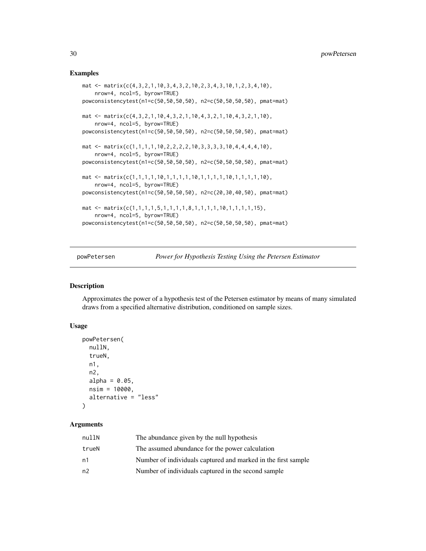### Examples

```
mat <- matrix(c(4,3,2,1,10,3,4,3,2,10,2,3,4,3,10,1,2,3,4,10),
   nrow=4, ncol=5, byrow=TRUE)
powconsistencytest(n1=c(50,50,50,50), n2=c(50,50,50,50), pmat=mat)
mat <- matrix(c(4,3,2,1,10,4,3,2,1,10,4,3,2,1,10,4,3,2,1,10),
   nrow=4, ncol=5, byrow=TRUE)
powconsistencytest(n1=c(50,50,50,50), n2=c(50,50,50,50), pmat=mat)
mat <- matrix(c(1,1,1,1,10,2,2,2,2,10,3,3,3,3,10,4,4,4,4,10),
   nrow=4, ncol=5, byrow=TRUE)
powconsistencytest(n1=c(50,50,50,50), n2=c(50,50,50,50), pmat=mat)
mat <- matrix(c(1,1,1,1,10,1,1,1,1,10,1,1,1,1,10,1,1,1,1,10),
   nrow=4, ncol=5, byrow=TRUE)
powconsistencytest(n1=c(50,50,50,50), n2=c(20,30,40,50), pmat=mat)
mat \leq matrix(c(1,1,1,1,5,1,1,1,1,8,1,1,1,1,10,1,1,1,1,1,15),
    nrow=4, ncol=5, byrow=TRUE)
powconsistencytest(n1=c(50,50,50,50), n2=c(50,50,50,50), pmat=mat)
```
<span id="page-29-1"></span>

powPetersen *Power for Hypothesis Testing Using the Petersen Estimator*

### Description

Approximates the power of a hypothesis test of the Petersen estimator by means of many simulated draws from a specified alternative distribution, conditioned on sample sizes.

### Usage

```
powPetersen(
  nullN,
  trueN,
 n1,
 n2,
 alpha = 0.05,
 nsim = 10000,
  alternative = "less"
)
```
### Arguments

| nullN | The abundance given by the null hypothesis                    |
|-------|---------------------------------------------------------------|
| trueN | The assumed abundance for the power calculation               |
| n1    | Number of individuals captured and marked in the first sample |
| n2    | Number of individuals captured in the second sample           |

<span id="page-29-0"></span>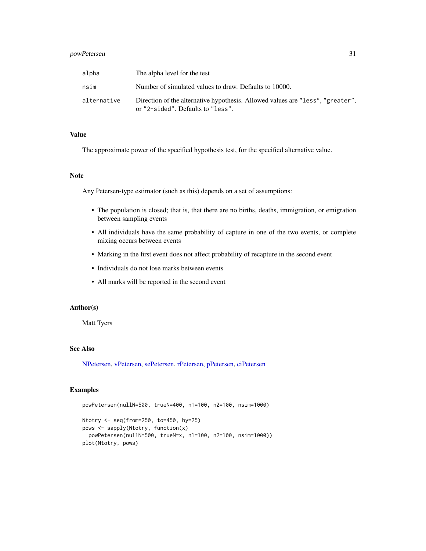### <span id="page-30-0"></span>powPetersen 31

| alpha       | The alpha level for the test                                                                                        |
|-------------|---------------------------------------------------------------------------------------------------------------------|
| nsim        | Number of simulated values to draw. Defaults to 10000.                                                              |
| alternative | Direction of the alternative hypothesis. Allowed values are "less", "greater",<br>or "2-sided". Defaults to "less". |

### Value

The approximate power of the specified hypothesis test, for the specified alternative value.

### Note

Any Petersen-type estimator (such as this) depends on a set of assumptions:

- The population is closed; that is, that there are no births, deaths, immigration, or emigration between sampling events
- All individuals have the same probability of capture in one of the two events, or complete mixing occurs between events
- Marking in the first event does not affect probability of recapture in the second event
- Individuals do not lose marks between events
- All marks will be reported in the second event

### Author(s)

Matt Tyers

### See Also

[NPetersen,](#page-15-1) [vPetersen,](#page-49-1) [sePetersen,](#page-43-1) [rPetersen,](#page-38-1) [pPetersen,](#page-32-1) [ciPetersen](#page-5-1)

### Examples

```
powPetersen(nullN=500, trueN=400, n1=100, n2=100, nsim=1000)
```

```
Ntotry <- seq(from=250, to=450, by=25)
pows <- sapply(Ntotry, function(x)
 powPetersen(nullN=500, trueN=x, n1=100, n2=100, nsim=1000))
plot(Ntotry, pows)
```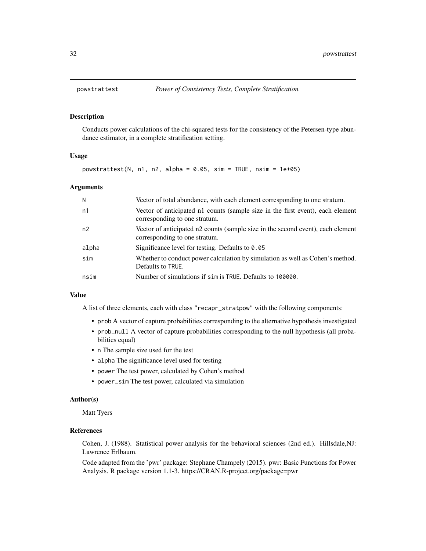Conducts power calculations of the chi-squared tests for the consistency of the Petersen-type abundance estimator, in a complete stratification setting.

#### Usage

powstrattest(N, n1, n2, alpha =  $0.05$ , sim = TRUE, nsim = 1e+05)

### Arguments

| N     | Vector of total abundance, with each element corresponding to one stratum.                                       |
|-------|------------------------------------------------------------------------------------------------------------------|
| n1    | Vector of anticipated n1 counts (sample size in the first event), each element<br>corresponding to one stratum.  |
| n2    | Vector of anticipated n2 counts (sample size in the second event), each element<br>corresponding to one stratum. |
| alpha | Significance level for testing. Defaults to $0.05$                                                               |
| sim   | Whether to conduct power calculation by simulation as well as Cohen's method.<br>Defaults to TRUE.               |
| nsim  | Number of simulations if sim is TRUE. Defaults to 100000.                                                        |

#### Value

A list of three elements, each with class "recapr\_stratpow" with the following components:

- prob A vector of capture probabilities corresponding to the alternative hypothesis investigated
- prob\_null A vector of capture probabilities corresponding to the null hypothesis (all probabilities equal)
- n The sample size used for the test
- alpha The significance level used for testing
- power The test power, calculated by Cohen's method
- power\_sim The test power, calculated via simulation

#### Author(s)

Matt Tyers

### References

Cohen, J. (1988). Statistical power analysis for the behavioral sciences (2nd ed.). Hillsdale,NJ: Lawrence Erlbaum.

Code adapted from the 'pwr' package: Stephane Champely (2015). pwr: Basic Functions for Power Analysis. R package version 1.1-3. https://CRAN.R-project.org/package=pwr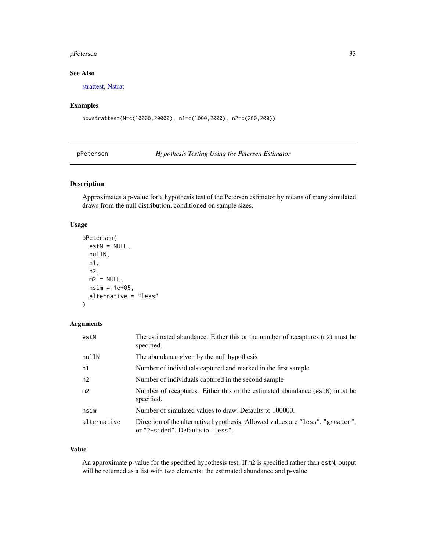#### <span id="page-32-0"></span>pPetersen 33

### See Also

[strattest,](#page-45-1) [Nstrat](#page-16-1)

### Examples

```
powstrattest(N=c(10000,20000), n1=c(1000,2000), n2=c(200,200))
```
<span id="page-32-1"></span>pPetersen *Hypothesis Testing Using the Petersen Estimator*

### Description

Approximates a p-value for a hypothesis test of the Petersen estimator by means of many simulated draws from the null distribution, conditioned on sample sizes.

#### Usage

```
pPetersen(
  estN = NULL,nullN,
 n1,
  n2,
 m2 = NULL,nsim = 1e+05,
  alternative = "less"
)
```
### Arguments

| estN           | The estimated abundance. Either this or the number of recaptures (m2) must be<br>specified.                         |
|----------------|---------------------------------------------------------------------------------------------------------------------|
| nullN          | The abundance given by the null hypothesis                                                                          |
| n1             | Number of individuals captured and marked in the first sample                                                       |
| n2             | Number of individuals captured in the second sample                                                                 |
| m <sub>2</sub> | Number of recaptures. Either this or the estimated abundance (estN) must be<br>specified.                           |
| nsim           | Number of simulated values to draw. Defaults to 100000.                                                             |
| alternative    | Direction of the alternative hypothesis. Allowed values are "less", "greater",<br>or "2-sided". Defaults to "less". |

### Value

An approximate p-value for the specified hypothesis test. If m2 is specified rather than estN, output will be returned as a list with two elements: the estimated abundance and p-value.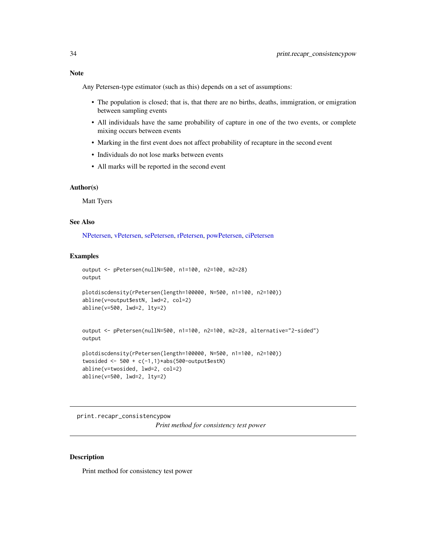### <span id="page-33-0"></span>Note

Any Petersen-type estimator (such as this) depends on a set of assumptions:

- The population is closed; that is, that there are no births, deaths, immigration, or emigration between sampling events
- All individuals have the same probability of capture in one of the two events, or complete mixing occurs between events
- Marking in the first event does not affect probability of recapture in the second event
- Individuals do not lose marks between events
- All marks will be reported in the second event

#### Author(s)

Matt Tyers

#### See Also

[NPetersen,](#page-15-1) [vPetersen,](#page-49-1) [sePetersen,](#page-43-1) [rPetersen,](#page-38-1) [powPetersen,](#page-29-1) [ciPetersen](#page-5-1)

#### Examples

```
output <- pPetersen(nullN=500, n1=100, n2=100, m2=28)
output
plotdiscdensity(rPetersen(length=100000, N=500, n1=100, n2=100))
abline(v=output$estN, lwd=2, col=2)
abline(v=500, lwd=2, lty=2)
output <- pPetersen(nullN=500, n1=100, n2=100, m2=28, alternative="2-sided")
output
plotdiscdensity(rPetersen(length=100000, N=500, n1=100, n2=100))
twosided \leq -500 + c(-1,1)*abs(500-output$estN)abline(v=twosided, lwd=2, col=2)
abline(v=500, lwd=2, lty=2)
```
print.recapr\_consistencypow *Print method for consistency test power*

#### Description

Print method for consistency test power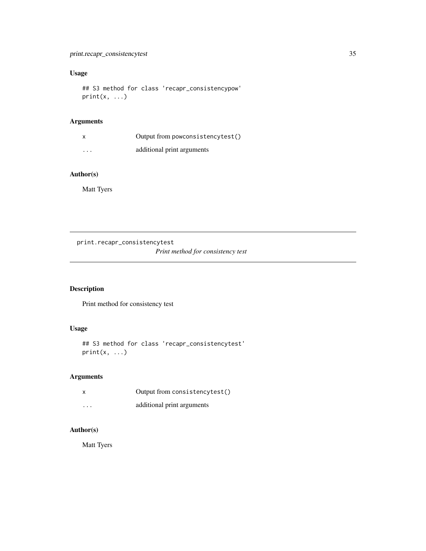## <span id="page-34-0"></span>Usage

```
## S3 method for class 'recapr_consistencypow'
print(x, \ldots)
```
### Arguments

| X                 | Output from powconsistencytest() |
|-------------------|----------------------------------|
| $\cdot\cdot\cdot$ | additional print arguments       |

### Author(s)

Matt Tyers

print.recapr\_consistencytest *Print method for consistency test*

### Description

Print method for consistency test

### Usage

## S3 method for class 'recapr\_consistencytest'  $print(x, \ldots)$ 

### Arguments

| $\boldsymbol{\mathsf{x}}$ | Output from consistencytest() |
|---------------------------|-------------------------------|
| $\cdots$                  | additional print arguments    |

### Author(s)

Matt Tyers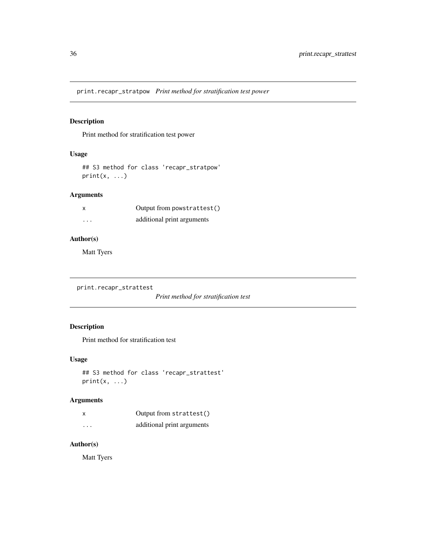<span id="page-35-0"></span>print.recapr\_stratpow *Print method for stratification test power*

### Description

Print method for stratification test power

### Usage

## S3 method for class 'recapr\_stratpow'  $print(x, \ldots)$ 

### Arguments

| x        | Output from powstrattest() |
|----------|----------------------------|
| $\cdots$ | additional print arguments |

### Author(s)

Matt Tyers

print.recapr\_strattest

*Print method for stratification test*

## Description

Print method for stratification test

### Usage

```
## S3 method for class 'recapr_strattest'
print(x, \ldots)
```
### Arguments

| x                       | Output from strattest()    |
|-------------------------|----------------------------|
| $\cdot$ $\cdot$ $\cdot$ | additional print arguments |

### Author(s)

Matt Tyers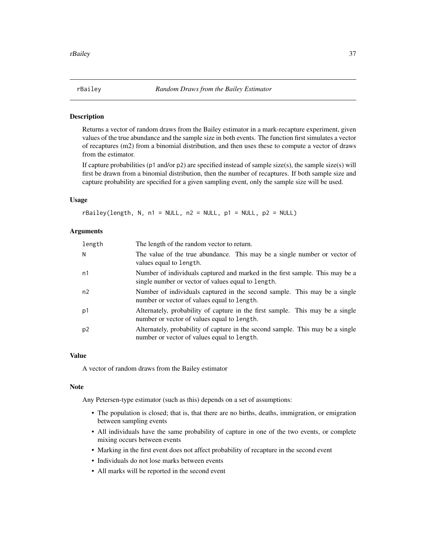<span id="page-36-1"></span><span id="page-36-0"></span>

Returns a vector of random draws from the Bailey estimator in a mark-recapture experiment, given values of the true abundance and the sample size in both events. The function first simulates a vector of recaptures (m2) from a binomial distribution, and then uses these to compute a vector of draws from the estimator.

If capture probabilities ( $p1$  and/or  $p2$ ) are specified instead of sample size(s), the sample size(s) will first be drawn from a binomial distribution, then the number of recaptures. If both sample size and capture probability are specified for a given sampling event, only the sample size will be used.

### Usage

 $rBailey(length, N, n1 = NULL, n2 = NULL, p1 = NULL, p2 = NULL)$ 

### Arguments

| length         | The length of the random vector to return.                                                                                         |
|----------------|------------------------------------------------------------------------------------------------------------------------------------|
| N              | The value of the true abundance. This may be a single number or vector of<br>values equal to length.                               |
| n1             | Number of individuals captured and marked in the first sample. This may be a<br>single number or vector of values equal to length. |
| n2             | Number of individuals captured in the second sample. This may be a single<br>number or vector of values equal to length.           |
| p1             | Alternately, probability of capture in the first sample. This may be a single<br>number or vector of values equal to length.       |
| p <sub>2</sub> | Alternately, probability of capture in the second sample. This may be a single<br>number or vector of values equal to length.      |

### Value

A vector of random draws from the Bailey estimator

### Note

- The population is closed; that is, that there are no births, deaths, immigration, or emigration between sampling events
- All individuals have the same probability of capture in one of the two events, or complete mixing occurs between events
- Marking in the first event does not affect probability of recapture in the second event
- Individuals do not lose marks between events
- All marks will be reported in the second event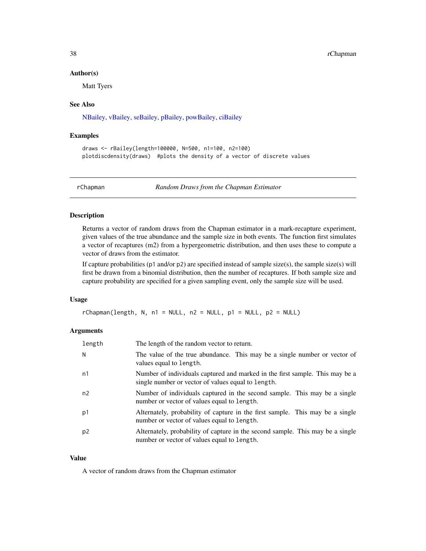#### Author(s)

Matt Tyers

#### See Also

[NBailey,](#page-11-1) [vBailey,](#page-47-1) [seBailey,](#page-41-1) [pBailey,](#page-17-1) [powBailey,](#page-24-1) [ciBailey](#page-2-1)

### Examples

```
draws <- rBailey(length=100000, N=500, n1=100, n2=100)
plotdiscdensity(draws) #plots the density of a vector of discrete values
```
<span id="page-37-1"></span>

rChapman *Random Draws from the Chapman Estimator*

### Description

Returns a vector of random draws from the Chapman estimator in a mark-recapture experiment, given values of the true abundance and the sample size in both events. The function first simulates a vector of recaptures (m2) from a hypergeometric distribution, and then uses these to compute a vector of draws from the estimator.

If capture probabilities (p1 and/or p2) are specified instead of sample size(s), the sample size(s) will first be drawn from a binomial distribution, then the number of recaptures. If both sample size and capture probability are specified for a given sampling event, only the sample size will be used.

#### Usage

 $rChapman(length, N, n1 = NULL, n2 = NULL, p1 = NULL, p2 = NULL)$ 

#### Arguments

| length         | The length of the random vector to return.                                                                                         |
|----------------|------------------------------------------------------------------------------------------------------------------------------------|
| Ν              | The value of the true abundance. This may be a single number or vector of<br>values equal to length.                               |
| n1             | Number of individuals captured and marked in the first sample. This may be a<br>single number or vector of values equal to length. |
| n <sub>2</sub> | Number of individuals captured in the second sample. This may be a single<br>number or vector of values equal to length.           |
| p1             | Alternately, probability of capture in the first sample. This may be a single<br>number or vector of values equal to length.       |
| p2             | Alternately, probability of capture in the second sample. This may be a single<br>number or vector of values equal to length.      |

### Value

A vector of random draws from the Chapman estimator

<span id="page-37-0"></span>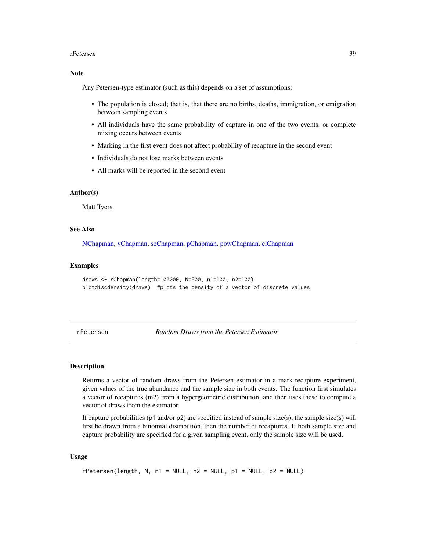#### <span id="page-38-0"></span>rPetersen 39

### Note

Any Petersen-type estimator (such as this) depends on a set of assumptions:

- The population is closed; that is, that there are no births, deaths, immigration, or emigration between sampling events
- All individuals have the same probability of capture in one of the two events, or complete mixing occurs between events
- Marking in the first event does not affect probability of recapture in the second event
- Individuals do not lose marks between events
- All marks will be reported in the second event

#### Author(s)

Matt Tyers

### See Also

[NChapman,](#page-13-1) [vChapman,](#page-48-1) [seChapman,](#page-42-1) [pChapman,](#page-19-1) [powChapman,](#page-25-1) [ciChapman](#page-4-1)

### Examples

```
draws <- rChapman(length=100000, N=500, n1=100, n2=100)
plotdiscdensity(draws) #plots the density of a vector of discrete values
```
<span id="page-38-1"></span>rPetersen *Random Draws from the Petersen Estimator*

#### Description

Returns a vector of random draws from the Petersen estimator in a mark-recapture experiment, given values of the true abundance and the sample size in both events. The function first simulates a vector of recaptures (m2) from a hypergeometric distribution, and then uses these to compute a vector of draws from the estimator.

If capture probabilities (p1 and/or p2) are specified instead of sample size(s), the sample size(s) will first be drawn from a binomial distribution, then the number of recaptures. If both sample size and capture probability are specified for a given sampling event, only the sample size will be used.

#### Usage

```
rPetersen(length, N, n1 = NULL, n2 = NULL, p1 = NULL, p2 = NULL)
```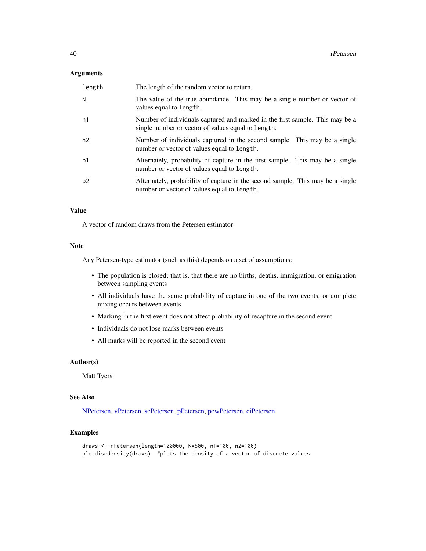### <span id="page-39-0"></span>Arguments

| length         | The length of the random vector to return.                                                                                         |
|----------------|------------------------------------------------------------------------------------------------------------------------------------|
| N              | The value of the true abundance. This may be a single number or vector of<br>values equal to length.                               |
| n1             | Number of individuals captured and marked in the first sample. This may be a<br>single number or vector of values equal to length. |
| n2             | Number of individuals captured in the second sample. This may be a single<br>number or vector of values equal to length.           |
| p1             | Alternately, probability of capture in the first sample. This may be a single<br>number or vector of values equal to length.       |
| p <sub>2</sub> | Alternately, probability of capture in the second sample. This may be a single<br>number or vector of values equal to length.      |

### Value

A vector of random draws from the Petersen estimator

### Note

Any Petersen-type estimator (such as this) depends on a set of assumptions:

- The population is closed; that is, that there are no births, deaths, immigration, or emigration between sampling events
- All individuals have the same probability of capture in one of the two events, or complete mixing occurs between events
- Marking in the first event does not affect probability of recapture in the second event
- Individuals do not lose marks between events
- All marks will be reported in the second event

#### Author(s)

Matt Tyers

#### See Also

[NPetersen,](#page-15-1) [vPetersen,](#page-49-1) [sePetersen,](#page-43-1) [pPetersen,](#page-32-1) [powPetersen,](#page-29-1) [ciPetersen](#page-5-1)

### Examples

```
draws <- rPetersen(length=100000, N=500, n1=100, n2=100)
plotdiscdensity(draws) #plots the density of a vector of discrete values
```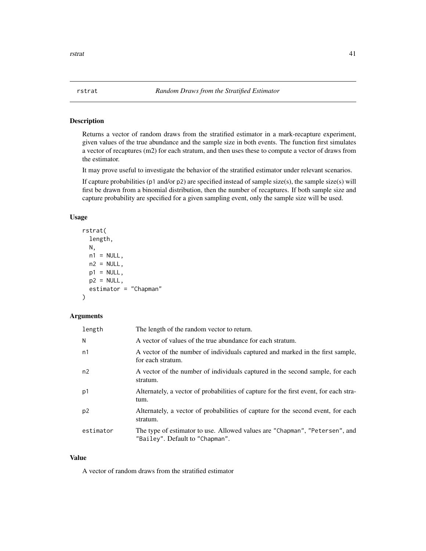<span id="page-40-1"></span><span id="page-40-0"></span>

Returns a vector of random draws from the stratified estimator in a mark-recapture experiment, given values of the true abundance and the sample size in both events. The function first simulates a vector of recaptures (m2) for each stratum, and then uses these to compute a vector of draws from the estimator.

It may prove useful to investigate the behavior of the stratified estimator under relevant scenarios.

If capture probabilities ( $p1$  and/or  $p2$ ) are specified instead of sample size(s), the sample size(s) will first be drawn from a binomial distribution, then the number of recaptures. If both sample size and capture probability are specified for a given sampling event, only the sample size will be used.

### Usage

```
rstrat(
  length,
 N,
 n1 = NULL,n2 = NULL,p1 = NULL,p2 = NULL,estimator = "Chapman"
)
```
#### Arguments

| length         | The length of the random vector to return.                                                                     |
|----------------|----------------------------------------------------------------------------------------------------------------|
| N              | A vector of values of the true abundance for each stratum.                                                     |
| n1             | A vector of the number of individuals captured and marked in the first sample,<br>for each stratum.            |
| n2             | A vector of the number of individuals captured in the second sample, for each<br>stratum.                      |
| p1             | Alternately, a vector of probabilities of capture for the first event, for each stra-<br>tum.                  |
| p <sub>2</sub> | Alternately, a vector of probabilities of capture for the second event, for each<br>stratum.                   |
| estimator      | The type of estimator to use. Allowed values are "Chapman", "Petersen", and<br>"Bailey". Default to "Chapman". |

### Value

A vector of random draws from the stratified estimator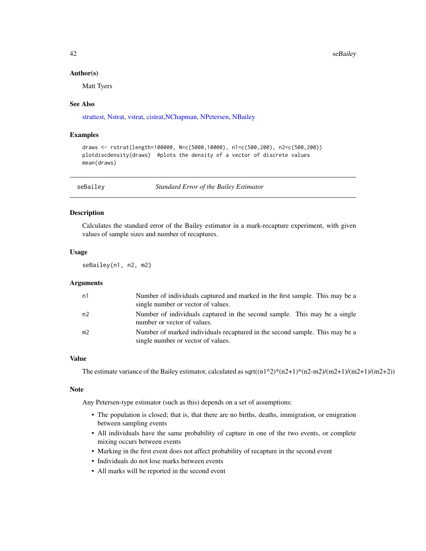<span id="page-41-0"></span>42 seBailey and the seBailey seBailey seBailey seBailey seBailey

#### Author(s)

Matt Tyers

### See Also

[strattest,](#page-45-1) [Nstrat,](#page-16-1) [vstrat,](#page-50-1) [cistrat,](#page-6-1)[NChapman,](#page-13-1) [NPetersen,](#page-15-1) [NBailey](#page-11-1)

### Examples

```
draws <- rstrat(length=100000, N=c(5000,10000), n1=c(500,200), n2=c(500,200))
plotdiscdensity(draws) #plots the density of a vector of discrete values
mean(draws)
```
<span id="page-41-1"></span>

seBailey *Standard Error of the Bailey Estimator*

#### Description

Calculates the standard error of the Bailey estimator in a mark-recapture experiment, with given values of sample sizes and number of recaptures.

### Usage

seBailey(n1, n2, m2)

### Arguments

| n1             | Number of individuals captured and marked in the first sample. This may be a<br>single number or vector of values. |
|----------------|--------------------------------------------------------------------------------------------------------------------|
| n2             | Number of individuals captured in the second sample. This may be a single<br>number or vector of values.           |
| m <sub>2</sub> | Number of marked individuals recaptured in the second sample. This may be a<br>single number or vector of values.  |

### Value

The estimate variance of the Bailey estimator, calculated as  $sqrt((n1^2)^*(n2+1)^*(n2-m2)/(m2+1)/(m2+1)/(m2+2))$ 

### Note

- The population is closed; that is, that there are no births, deaths, immigration, or emigration between sampling events
- All individuals have the same probability of capture in one of the two events, or complete mixing occurs between events
- Marking in the first event does not affect probability of recapture in the second event
- Individuals do not lose marks between events
- All marks will be reported in the second event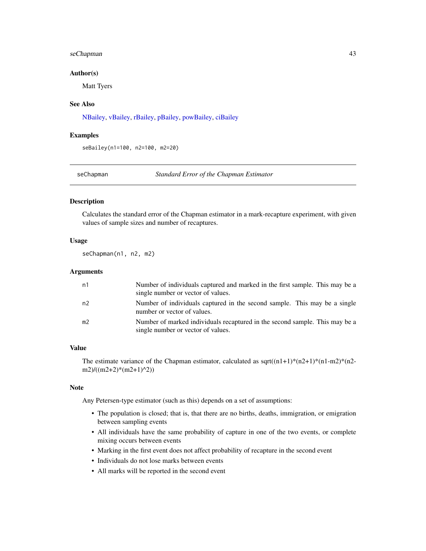### <span id="page-42-0"></span>seChapman 43

#### Author(s)

Matt Tyers

### See Also

[NBailey,](#page-11-1) [vBailey,](#page-47-1) [rBailey,](#page-36-1) [pBailey,](#page-17-1) [powBailey,](#page-24-1) [ciBailey](#page-2-1)

### Examples

seBailey(n1=100, n2=100, m2=20)

<span id="page-42-1"></span>

seChapman *Standard Error of the Chapman Estimator*

### Description

Calculates the standard error of the Chapman estimator in a mark-recapture experiment, with given values of sample sizes and number of recaptures.

### Usage

seChapman(n1, n2, m2)

### Arguments

| n1             | Number of individuals captured and marked in the first sample. This may be a<br>single number or vector of values. |
|----------------|--------------------------------------------------------------------------------------------------------------------|
| n2             | Number of individuals captured in the second sample. This may be a single<br>number or vector of values.           |
| m <sub>2</sub> | Number of marked individuals recaptured in the second sample. This may be a<br>single number or vector of values.  |

### Value

The estimate variance of the Chapman estimator, calculated as  $sqrt((n1+1)*(n2+1)*(n1-m2)*(n2-1)$  $m2)/((m2+2)*(m2+1)^{2})$ 

### Note

- The population is closed; that is, that there are no births, deaths, immigration, or emigration between sampling events
- All individuals have the same probability of capture in one of the two events, or complete mixing occurs between events
- Marking in the first event does not affect probability of recapture in the second event
- Individuals do not lose marks between events
- All marks will be reported in the second event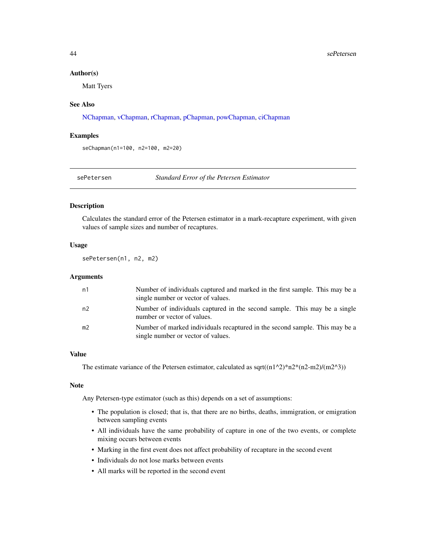#### <span id="page-43-0"></span>Author(s)

Matt Tyers

### See Also

[NChapman,](#page-13-1) [vChapman,](#page-48-1) [rChapman,](#page-37-1) [pChapman,](#page-19-1) [powChapman,](#page-25-1) [ciChapman](#page-4-1)

#### Examples

seChapman(n1=100, n2=100, m2=20)

<span id="page-43-1"></span>

sePetersen *Standard Error of the Petersen Estimator*

### Description

Calculates the standard error of the Petersen estimator in a mark-recapture experiment, with given values of sample sizes and number of recaptures.

### Usage

sePetersen(n1, n2, m2)

### **Arguments**

| n1             | Number of individuals captured and marked in the first sample. This may be a<br>single number or vector of values. |
|----------------|--------------------------------------------------------------------------------------------------------------------|
| n2             | Number of individuals captured in the second sample. This may be a single<br>number or vector of values.           |
| m <sub>2</sub> | Number of marked individuals recaptured in the second sample. This may be a<br>single number or vector of values.  |

#### Value

The estimate variance of the Petersen estimator, calculated as sqrt( $(n1^2)^*n2^*(n2-m2)/(m2^2)$ )

#### Note

- The population is closed; that is, that there are no births, deaths, immigration, or emigration between sampling events
- All individuals have the same probability of capture in one of the two events, or complete mixing occurs between events
- Marking in the first event does not affect probability of recapture in the second event
- Individuals do not lose marks between events
- All marks will be reported in the second event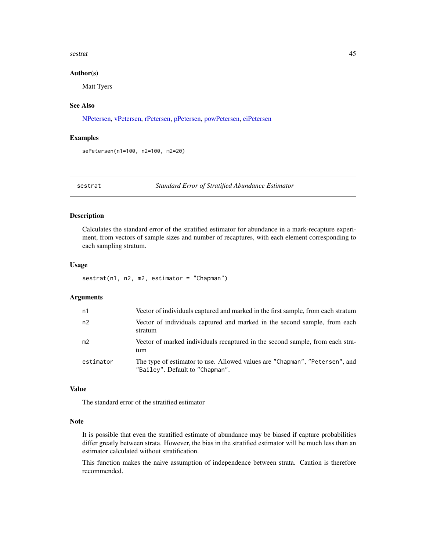#### <span id="page-44-0"></span>sestrat the contract of the contract of the contract of the contract of the contract of the contract of the contract of the contract of the contract of the contract of the contract of the contract of the contract of the co

#### Author(s)

Matt Tyers

### See Also

[NPetersen,](#page-15-1) [vPetersen,](#page-49-1) [rPetersen,](#page-38-1) [pPetersen,](#page-32-1) [powPetersen,](#page-29-1) [ciPetersen](#page-5-1)

### Examples

sePetersen(n1=100, n2=100, m2=20)

<span id="page-44-1"></span>sestrat *Standard Error of Stratified Abundance Estimator*

### Description

Calculates the standard error of the stratified estimator for abundance in a mark-recapture experiment, from vectors of sample sizes and number of recaptures, with each element corresponding to each sampling stratum.

### Usage

sestrat(n1, n2, m2, estimator = "Chapman")

#### Arguments

| n1             | Vector of individuals captured and marked in the first sample, from each stratum                               |
|----------------|----------------------------------------------------------------------------------------------------------------|
| n2             | Vector of individuals captured and marked in the second sample, from each<br>stratum                           |
| m <sub>2</sub> | Vector of marked individuals recaptured in the second sample, from each stra-<br>tum                           |
| estimator      | The type of estimator to use. Allowed values are "Chapman", "Petersen", and<br>"Bailey". Default to "Chapman". |

#### Value

The standard error of the stratified estimator

### Note

It is possible that even the stratified estimate of abundance may be biased if capture probabilities differ greatly between strata. However, the bias in the stratified estimator will be much less than an estimator calculated without stratification.

This function makes the naive assumption of independence between strata. Caution is therefore recommended.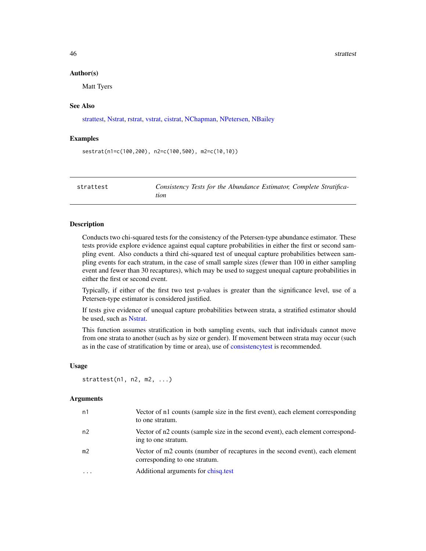46 strattest and the strattest strattest and the strattest strattest strattest strattest strattest strattest strattest strattest strattest strattest strattest strattest strattest strattest strattest strattest strattest str

#### Author(s)

Matt Tyers

### See Also

[strattest,](#page-45-1) [Nstrat,](#page-16-1) [rstrat,](#page-40-1) [vstrat,](#page-50-1) [cistrat,](#page-6-1) [NChapman,](#page-13-1) [NPetersen,](#page-15-1) [NBailey](#page-11-1)

#### Examples

sestrat(n1=c(100,200), n2=c(100,500), m2=c(10,10))

<span id="page-45-1"></span>strattest *Consistency Tests for the Abundance Estimator, Complete Stratification*

#### Description

Conducts two chi-squared tests for the consistency of the Petersen-type abundance estimator. These tests provide explore evidence against equal capture probabilities in either the first or second sampling event. Also conducts a third chi-squared test of unequal capture probabilities between sampling events for each stratum, in the case of small sample sizes (fewer than 100 in either sampling event and fewer than 30 recaptures), which may be used to suggest unequal capture probabilities in either the first or second event.

Typically, if either of the first two test p-values is greater than the significance level, use of a Petersen-type estimator is considered justified.

If tests give evidence of unequal capture probabilities between strata, a stratified estimator should be used, such as [Nstrat.](#page-16-1)

This function assumes stratification in both sampling events, such that individuals cannot move from one strata to another (such as by size or gender). If movement between strata may occur (such as in the case of stratification by time or area), use of [consistencytest](#page-8-1) is recommended.

#### Usage

```
strattest(n1, n2, m2, ...)
```
#### Arguments

| n1             | Vector of n1 counts (sample size in the first event), each element corresponding<br>to one stratum.           |
|----------------|---------------------------------------------------------------------------------------------------------------|
| n2             | Vector of n2 counts (sample size in the second event), each element correspond-<br>ing to one stratum.        |
| m <sub>2</sub> | Vector of m2 counts (number of recaptures in the second event), each element<br>corresponding to one stratum. |
|                | Additional arguments for chisq.test                                                                           |

<span id="page-45-0"></span>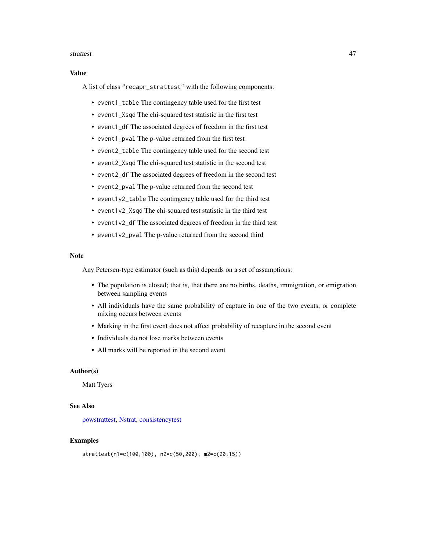#### <span id="page-46-0"></span>strattest 47

### Value

A list of class "recapr\_strattest" with the following components:

- event1\_table The contingency table used for the first test
- event1\_Xsqd The chi-squared test statistic in the first test
- event1\_df The associated degrees of freedom in the first test
- event1\_pval The p-value returned from the first test
- event2\_table The contingency table used for the second test
- event2\_Xsqd The chi-squared test statistic in the second test
- event2\_df The associated degrees of freedom in the second test
- event2\_pval The p-value returned from the second test
- event1v2\_table The contingency table used for the third test
- event1v2\_Xsqd The chi-squared test statistic in the third test
- event1v2\_df The associated degrees of freedom in the third test
- event1v2\_pval The p-value returned from the second third

### **Note**

Any Petersen-type estimator (such as this) depends on a set of assumptions:

- The population is closed; that is, that there are no births, deaths, immigration, or emigration between sampling events
- All individuals have the same probability of capture in one of the two events, or complete mixing occurs between events
- Marking in the first event does not affect probability of recapture in the second event
- Individuals do not lose marks between events
- All marks will be reported in the second event

#### Author(s)

Matt Tyers

#### See Also

[powstrattest,](#page-31-1) [Nstrat,](#page-16-1) [consistencytest](#page-8-1)

#### Examples

```
strattest(n1=c(100,100), n2=c(50,200), m2=c(20,15))
```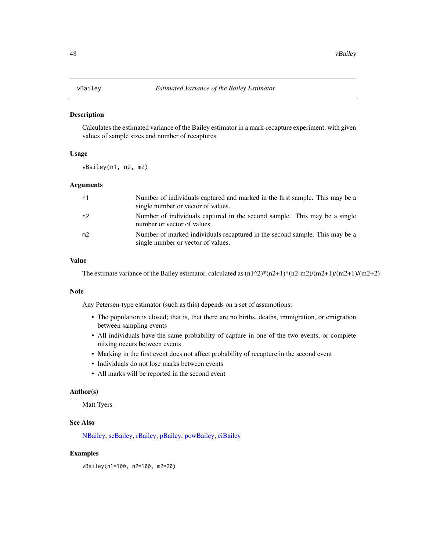<span id="page-47-1"></span><span id="page-47-0"></span>Calculates the estimated variance of the Bailey estimator in a mark-recapture experiment, with given values of sample sizes and number of recaptures.

#### Usage

vBailey(n1, n2, m2)

### Arguments

| n1             | Number of individuals captured and marked in the first sample. This may be a<br>single number or vector of values. |
|----------------|--------------------------------------------------------------------------------------------------------------------|
| n2             | Number of individuals captured in the second sample. This may be a single<br>number or vector of values.           |
| m <sub>2</sub> | Number of marked individuals recaptured in the second sample. This may be a<br>single number or vector of values.  |

#### Value

The estimate variance of the Bailey estimator, calculated as  $(n1^2)^*(n2+1)^*(n2-m2)/(m2+1)/(m2+1)/(m2+2)$ 

### Note

Any Petersen-type estimator (such as this) depends on a set of assumptions:

- The population is closed; that is, that there are no births, deaths, immigration, or emigration between sampling events
- All individuals have the same probability of capture in one of the two events, or complete mixing occurs between events
- Marking in the first event does not affect probability of recapture in the second event
- Individuals do not lose marks between events
- All marks will be reported in the second event

#### Author(s)

Matt Tyers

#### See Also

[NBailey,](#page-11-1) [seBailey,](#page-41-1) [rBailey,](#page-36-1) [pBailey,](#page-17-1) [powBailey,](#page-24-1) [ciBailey](#page-2-1)

#### Examples

vBailey(n1=100, n2=100, m2=20)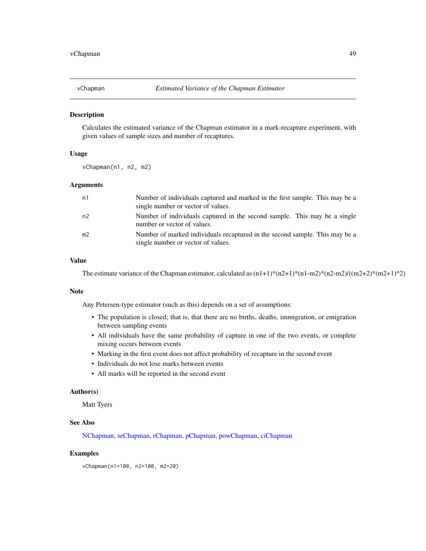<span id="page-48-1"></span><span id="page-48-0"></span>

Calculates the estimated variance of the Chapman estimator in a mark-recapture experiment, with given values of sample sizes and number of recaptures.

#### Usage

vChapman(n1, n2, m2)

#### **Arguments**

| n1             | Number of individuals captured and marked in the first sample. This may be a<br>single number or vector of values. |
|----------------|--------------------------------------------------------------------------------------------------------------------|
| n2             | Number of individuals captured in the second sample. This may be a single<br>number or vector of values.           |
| m <sub>2</sub> | Number of marked individuals recaptured in the second sample. This may be a<br>single number or vector of values.  |

#### Value

The estimate variance of the Chapman estimator, calculated as  $(n1+1)*(n2+1)*(n1-m2)*(n2-m2)/((m2+2)*(m2+1)^2)$ 

### Note

Any Petersen-type estimator (such as this) depends on a set of assumptions:

- The population is closed; that is, that there are no births, deaths, immigration, or emigration between sampling events
- All individuals have the same probability of capture in one of the two events, or complete mixing occurs between events
- Marking in the first event does not affect probability of recapture in the second event
- Individuals do not lose marks between events
- All marks will be reported in the second event

#### Author(s)

Matt Tyers

### See Also

[NChapman,](#page-13-1) [seChapman,](#page-42-1) [rChapman,](#page-37-1) [pChapman,](#page-19-1) [powChapman,](#page-25-1) [ciChapman](#page-4-1)

#### Examples

vChapman(n1=100, n2=100, m2=20)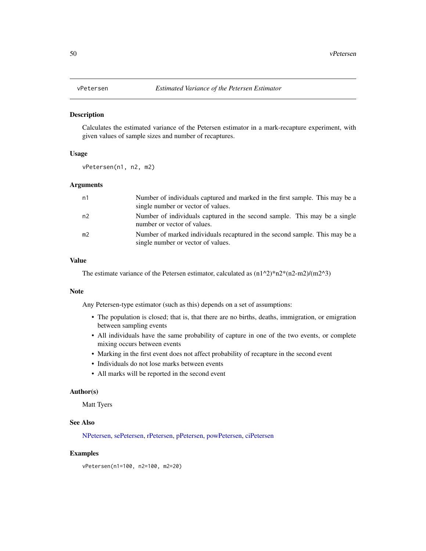<span id="page-49-1"></span><span id="page-49-0"></span>

Calculates the estimated variance of the Petersen estimator in a mark-recapture experiment, with given values of sample sizes and number of recaptures.

#### Usage

vPetersen(n1, n2, m2)

### Arguments

| n1             | Number of individuals captured and marked in the first sample. This may be a<br>single number or vector of values. |
|----------------|--------------------------------------------------------------------------------------------------------------------|
| n2             | Number of individuals captured in the second sample. This may be a single<br>number or vector of values.           |
| m <sub>2</sub> | Number of marked individuals recaptured in the second sample. This may be a<br>single number or vector of values.  |

#### Value

The estimate variance of the Petersen estimator, calculated as  $(n1^2)^*n2^*(n2-m2)/(m2^3)$ 

### Note

Any Petersen-type estimator (such as this) depends on a set of assumptions:

- The population is closed; that is, that there are no births, deaths, immigration, or emigration between sampling events
- All individuals have the same probability of capture in one of the two events, or complete mixing occurs between events
- Marking in the first event does not affect probability of recapture in the second event
- Individuals do not lose marks between events
- All marks will be reported in the second event

#### Author(s)

Matt Tyers

### See Also

[NPetersen,](#page-15-1) [sePetersen,](#page-43-1) [rPetersen,](#page-38-1) [pPetersen,](#page-32-1) [powPetersen,](#page-29-1) [ciPetersen](#page-5-1)

### Examples

vPetersen(n1=100, n2=100, m2=20)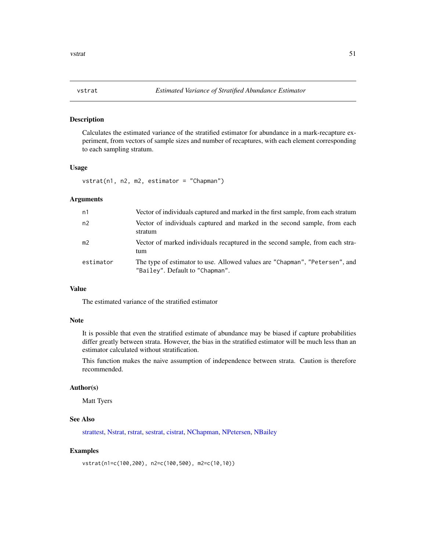<span id="page-50-1"></span><span id="page-50-0"></span>

Calculates the estimated variance of the stratified estimator for abundance in a mark-recapture experiment, from vectors of sample sizes and number of recaptures, with each element corresponding to each sampling stratum.

### Usage

vstrat(n1, n2, m2, estimator = "Chapman")

### Arguments

| n1             | Vector of individuals captured and marked in the first sample, from each stratum                               |
|----------------|----------------------------------------------------------------------------------------------------------------|
| n2             | Vector of individuals captured and marked in the second sample, from each<br>stratum                           |
| m <sub>2</sub> | Vector of marked individuals recaptured in the second sample, from each stra-<br>tum                           |
| estimator      | The type of estimator to use. Allowed values are "Chapman", "Petersen", and<br>"Bailey". Default to "Chapman". |

### Value

The estimated variance of the stratified estimator

#### Note

It is possible that even the stratified estimate of abundance may be biased if capture probabilities differ greatly between strata. However, the bias in the stratified estimator will be much less than an estimator calculated without stratification.

This function makes the naive assumption of independence between strata. Caution is therefore recommended.

### Author(s)

Matt Tyers

### See Also

[strattest,](#page-45-1) [Nstrat,](#page-16-1) [rstrat,](#page-40-1) [sestrat,](#page-44-1) [cistrat,](#page-6-1) [NChapman,](#page-13-1) [NPetersen,](#page-15-1) [NBailey](#page-11-1)

#### Examples

```
vstrat(n1=c(100,200), n2=c(100,500), m2=c(10,10))
```